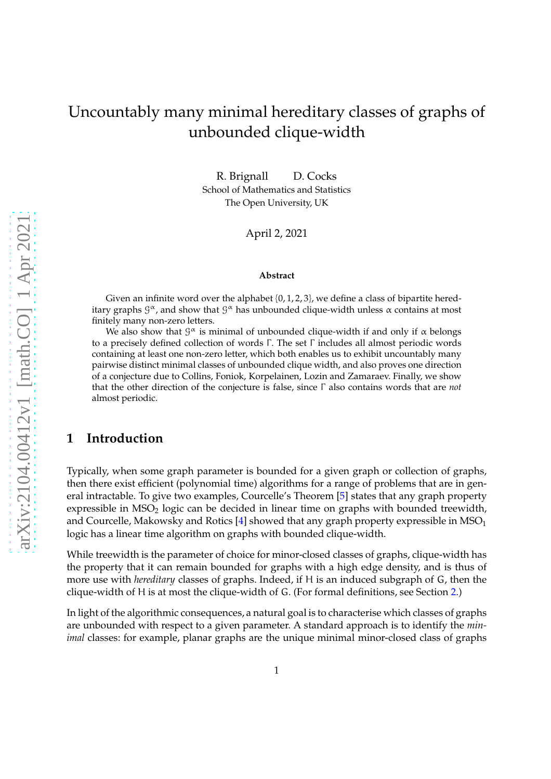# Uncountably many minimal hereditary classes of graphs of unbounded clique-width

R. Brignall D. Cocks School of Mathematics and Statistics The Open University, UK

April 2, 2021

#### **Abstract**

Given an infinite word over the alphabet  $\{0, 1, 2, 3\}$ , we define a class of bipartite hereditary graphs  $\mathcal{G}^{\alpha}$ , and show that  $\mathcal{G}^{\alpha}$  has unbounded clique-width unless  $\alpha$  contains at most finitely many non-zero letters.

We also show that  $\mathcal{G}^{\alpha}$  is minimal of unbounded clique-width if and only if  $\alpha$  belongs to a precisely defined collection of words Γ . The set Γ includes all almost periodic words containing at least one non-zero letter, which both enables us to exhibit uncountably many pairwise distinct minimal classes of unbounded clique width, and also proves one direction of a conjecture due to Collins, Foniok, Korpelainen, Lozin and Zamaraev. Finally, we show that the other direction of the conjecture is false, since Γ also contains words that are *not* almost periodic.

## **1 Introduction**

Typically, when some graph parameter is bounded for a given graph or collection of graphs, then there exist efficient (polynomial time) algorithms for a range of problems that are in general intractable. To give two examples, Courcelle's Theorem [\[5\]](#page-25-0) states that any graph property expressible in  $MSO<sub>2</sub>$  logic can be decided in linear time on graphs with bounded treewidth, and Courcelle, Makowsky and Rotics  $[4]$  showed that any graph property expressible in MSO<sub>1</sub> logic has a linear time algorithm on graphs with bounded clique-width.

While treewidth is the parameter of choice for minor-closed classes of graphs, clique-width has the property that it can remain bounded for graphs with a high edge density, and is thus of more use with *hereditary* classes of graphs. Indeed, if H is an induced subgraph of G, then the clique-width of H is at most the clique-width of G. (For formal definitions, see Section [2.](#page-2-0))

In light of the algorithmic consequences, a natural goal is to characterise which classes of graphs are unbounded with respect to a given parameter. A standard approach is to identify the *minimal* classes: for example, planar graphs are the unique minimal minor-closed class of graphs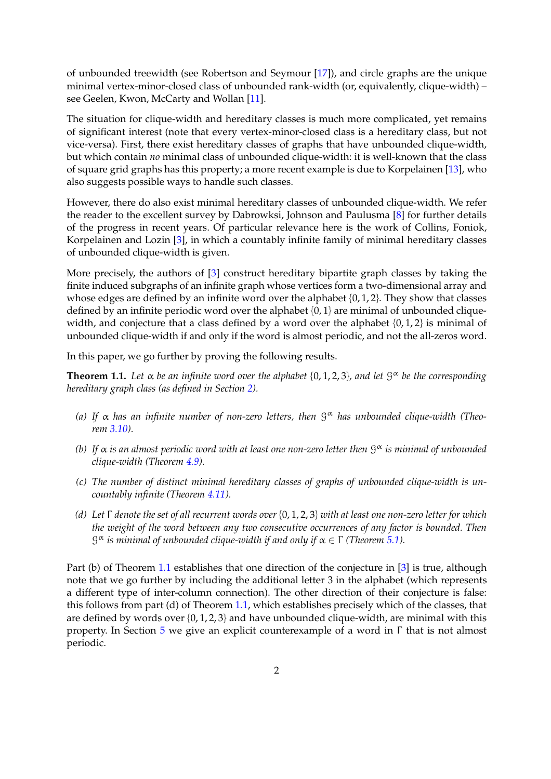of unbounded treewidth (see Robertson and Seymour [\[17\]](#page-26-0)), and circle graphs are the unique minimal vertex-minor-closed class of unbounded rank-width (or, equivalently, clique-width) – see Geelen, Kwon, McCarty and Wollan [\[11\]](#page-25-2).

The situation for clique-width and hereditary classes is much more complicated, yet remains of significant interest (note that every vertex-minor-closed class is a hereditary class, but not vice-versa). First, there exist hereditary classes of graphs that have unbounded clique-width, but which contain *no* minimal class of unbounded clique-width: it is well-known that the class of square grid graphs has this property; a more recent example is due to Korpelainen [\[13\]](#page-25-3), who also suggests possible ways to handle such classes.

However, there do also exist minimal hereditary classes of unbounded clique-width. We refer the reader to the excellent survey by Dabrowksi, Johnson and Paulusma [\[8\]](#page-25-4) for further details of the progress in recent years. Of particular relevance here is the work of Collins, Foniok, Korpelainen and Lozin [\[3\]](#page-25-5), in which a countably infinite family of minimal hereditary classes of unbounded clique-width is given.

More precisely, the authors of [\[3\]](#page-25-5) construct hereditary bipartite graph classes by taking the finite induced subgraphs of an infinite graph whose vertices form a two-dimensional array and whose edges are defined by an infinite word over the alphabet {0, 1, 2}. They show that classes defined by an infinite periodic word over the alphabet  $\{0, 1\}$  are minimal of unbounded cliquewidth, and conjecture that a class defined by a word over the alphabet  $\{0, 1, 2\}$  is minimal of unbounded clique-width if and only if the word is almost periodic, and not the all-zeros word.

In this paper, we go further by proving the following results.

<span id="page-1-0"></span>**Theorem 1.1.** Let  $\alpha$  be an infinite word over the alphabet  $\{0, 1, 2, 3\}$ , and let  $\beta^{\alpha}$  be the corresponding *hereditary graph class (as defined in Section [2\)](#page-2-0).*

- *(a) If* α *has an infinite number of non-zero letters, then* G <sup>α</sup> *has unbounded clique-width (Theorem [3.10\)](#page-12-0).*
- *(b) If* α *is an almost periodic word with at least one non-zero letter then* G <sup>α</sup> *is minimal of unbounded clique-width (Theorem [4.9\)](#page-20-0).*
- *(c) The number of distinct minimal hereditary classes of graphs of unbounded clique-width is uncountably infinite (Theorem [4.11\)](#page-21-0).*
- *(d) Let* Γ *denote the set of all recurrent words over* {0, 1, 2, 3} *with at least one non-zero letter for which the weight of the word between any two consecutive occurrences of any factor is bounded. Then* G <sup>α</sup> *is minimal of unbounded clique-width if and only if* α ∈ Γ *(Theorem [5.1\)](#page-22-0).*

Part (b) of Theorem [1.1](#page-1-0) establishes that one direction of the conjecture in [\[3\]](#page-25-5) is true, although note that we go further by including the additional letter 3 in the alphabet (which represents a different type of inter-column connection). The other direction of their conjecture is false: this follows from part (d) of Theorem [1.1,](#page-1-0) which establishes precisely which of the classes, that are defined by words over  $\{0, 1, 2, 3\}$  and have unbounded clique-width, are minimal with this property. In Section [5](#page-21-1) we give an explicit counterexample of a word in  $\Gamma$  that is not almost periodic.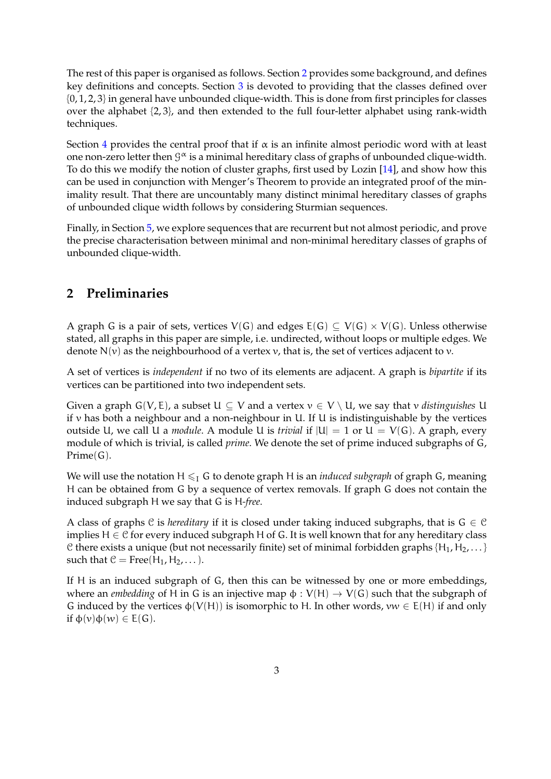The rest of this paper is organised as follows. Section [2](#page-2-0) provides some background, and defines key definitions and concepts. Section [3](#page-6-0) is devoted to providing that the classes defined over {0, 1, 2, 3} in general have unbounded clique-width. This is done from first principles for classes over the alphabet {2, 3}, and then extended to the full four-letter alphabet using rank-width techniques.

Section [4](#page-12-1) provides the central proof that if  $\alpha$  is an infinite almost periodic word with at least one non-zero letter then  $\mathcal{G}^{\alpha}$  is a minimal hereditary class of graphs of unbounded clique-width. To do this we modify the notion of cluster graphs, first used by Lozin [\[14\]](#page-25-6), and show how this can be used in conjunction with Menger's Theorem to provide an integrated proof of the minimality result. That there are uncountably many distinct minimal hereditary classes of graphs of unbounded clique width follows by considering Sturmian sequences.

Finally, in Section [5,](#page-21-1) we explore sequences that are recurrent but not almost periodic, and prove the precise characterisation between minimal and non-minimal hereditary classes of graphs of unbounded clique-width.

## <span id="page-2-0"></span>**2 Preliminaries**

A graph G is a pair of sets, vertices  $V(G)$  and edges  $E(G) \subseteq V(G) \times V(G)$ . Unless otherwise stated, all graphs in this paper are simple, i.e. undirected, without loops or multiple edges. We denote  $N(v)$  as the neighbourhood of a vertex v, that is, the set of vertices adjacent to v.

A set of vertices is *independent* if no two of its elements are adjacent. A graph is *bipartite* if its vertices can be partitioned into two independent sets.

Given a graph  $G(V, E)$ , a subset  $U \subseteq V$  and a vertex  $v \in V \setminus U$ , we say that v *distinguishes* U if v has both a neighbour and a non-neighbour in U. If U is indistinguishable by the vertices outside U, we call U a *module*. A module U is *trivial* if  $|U| = 1$  or  $U = V(G)$ . A graph, every module of which is trivial, is called *prime*. We denote the set of prime induced subgraphs of G, Prime(G).

We will use the notation  $H \leq I$  G to denote graph H is an *induced subgraph* of graph G, meaning H can be obtained from G by a sequence of vertex removals. If graph G does not contain the induced subgraph H we say that G is H*-free*.

A class of graphs  $C$  is *hereditary* if it is closed under taking induced subgraphs, that is  $G \in C$ implies  $H \in \mathcal{C}$  for every induced subgraph H of G. It is well known that for any hereditary class C there exists a unique (but not necessarily finite) set of minimal forbidden graphs { $H_1, H_2, \ldots$ } such that  $C = Free(H_1, H_2, \dots)$ .

If H is an induced subgraph of G, then this can be witnessed by one or more embeddings, where an *embedding* of H in G is an injective map  $\phi: V(H) \rightarrow V(G)$  such that the subgraph of G induced by the vertices  $\phi(V(H))$  is isomorphic to H. In other words,  $vw \in E(H)$  if and only if  $\varphi(v)\varphi(w) \in E(G)$ .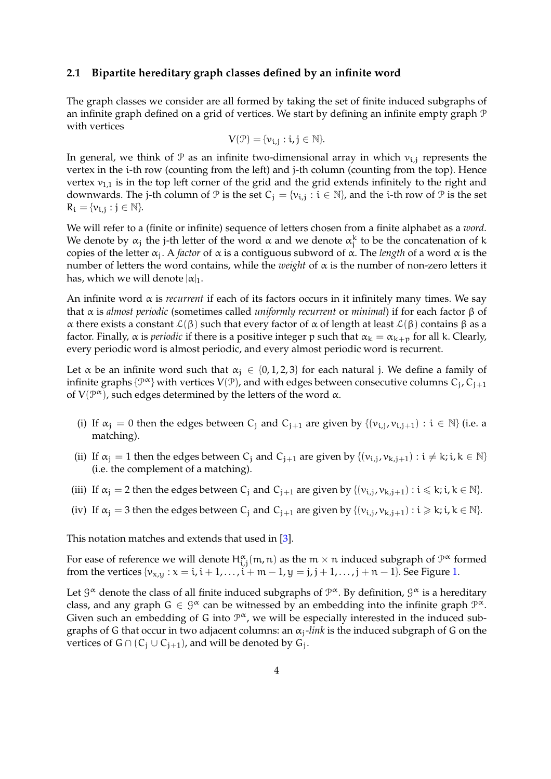#### <span id="page-3-0"></span>**2.1 Bipartite hereditary graph classes defined by an infinite word**

The graph classes we consider are all formed by taking the set of finite induced subgraphs of an infinite graph defined on a grid of vertices. We start by defining an infinite empty graph P with vertices

$$
V(\mathcal{P}) = \{v_{i,j} : i,j \in \mathbb{N}\}.
$$

In general, we think of  $\mathcal P$  as an infinite two-dimensional array in which  $v_{i,j}$  represents the vertex in the i-th row (counting from the left) and j-th column (counting from the top). Hence vertex  $v_{1,1}$  is in the top left corner of the grid and the grid extends infinitely to the right and downwards. The j-th column of  $\mathcal P$  is the set  $C_j = \{v_{i,j} : i \in \mathbb N\}$ , and the i-th row of  $\mathcal P$  is the set  $R_i = \{v_{i,j} : j \in \mathbb{N}\}.$ 

We will refer to a (finite or infinite) sequence of letters chosen from a finite alphabet as a *word*. We denote by  $\alpha_j$  the j-th letter of the word  $\alpha$  and we denote  $\alpha_j^k$  to be the concatenation of k copies of the letter α<sup>j</sup> . A *factor* of α is a contiguous subword of α. The *length* of a word α is the number of letters the word contains, while the *weight* of α is the number of non-zero letters it has, which we will denote  $|\alpha|_1$ .

An infinite word α is *recurrent* if each of its factors occurs in it infinitely many times. We say that α is *almost periodic* (sometimes called *uniformly recurrent* or *minimal*) if for each factor β of α there exists a constant  $\mathcal{L}(\beta)$  such that every factor of α of length at least  $\mathcal{L}(\beta)$  contains  $\beta$  as a factor. Finally,  $\alpha$  is *periodic* if there is a positive integer p such that  $\alpha_k = \alpha_{k+p}$  for all k. Clearly, every periodic word is almost periodic, and every almost periodic word is recurrent.

Let  $\alpha$  be an infinite word such that  $\alpha_i \in \{0, 1, 2, 3\}$  for each natural j. We define a family of infinite graphs  $\{\mathcal{P}^{\bm{\alpha}}\}$  with vertices  $\mathsf{V}(\mathcal{P})$ , and with edges between consecutive columns  $\mathsf{C}_{\mathsf{j}},\mathsf{C}_{\mathsf{j}+1}$ of  $V(\mathcal{P}^{\alpha})$ , such edges determined by the letters of the word  $\alpha$ .

- (i) If  $\alpha_j = 0$  then the edges between C<sub>j</sub> and C<sub>j+1</sub> are given by  $\{(\nu_{i,j}, \nu_{i,j+1}) : i \in \mathbb{N}\}\)$  (i.e. a matching).
- (ii) If  $\alpha_j = 1$  then the edges between  $C_j$  and  $C_{j+1}$  are given by  $\{(v_{i,j}, v_{k,j+1}) : i \neq k; i, k \in \mathbb{N}\}\$ (i.e. the complement of a matching).
- (iii) If  $\alpha_j = 2$  then the edges between  $C_j$  and  $C_{j+1}$  are given by  $\{ (v_{i,j}, v_{k,j+1}) : i \leq k; i, k \in \mathbb{N} \}$ .
- (iv) If  $\alpha_j = 3$  then the edges between  $C_j$  and  $C_{j+1}$  are given by  $\{(v_{i,j}, v_{k,j+1}) : i \geqslant k; i, k \in \mathbb{N}\}.$

This notation matches and extends that used in [\[3\]](#page-25-5).

For ease of reference we will denote  $H^{\alpha}_{i,j}(\mathfrak{m},\mathfrak{n})$  as the  $\mathfrak{m}\times\mathfrak{n}$  induced subgraph of  $\mathfrak{P}^{\alpha}$  formed from the vertices  $\{v_{x,y} : x = i, i + 1, ..., i + m - 1, y = j, j + 1, ..., j + n - 1\}$ . See Figure [1.](#page-4-0)

Let  $\mathcal{G}^{\alpha}$  denote the class of all finite induced subgraphs of  $\mathcal{P}^{\alpha}$ . By definition,  $\mathcal{G}^{\alpha}$  is a hereditary class, and any graph  $G \in \mathcal{G}^{\alpha}$  can be witnessed by an embedding into the infinite graph  $\mathcal{P}^{\alpha}$ . Given such an embedding of G into  $\mathcal{P}^{\alpha}$ , we will be especially interested in the induced subgraphs of G that occur in two adjacent columns: an  $\alpha_j$ -link is the induced subgraph of G on the vertices of G ∩ ( $C_j \cup C_{j+1}$ ), and will be denoted by  $\mathsf{G}_j$ .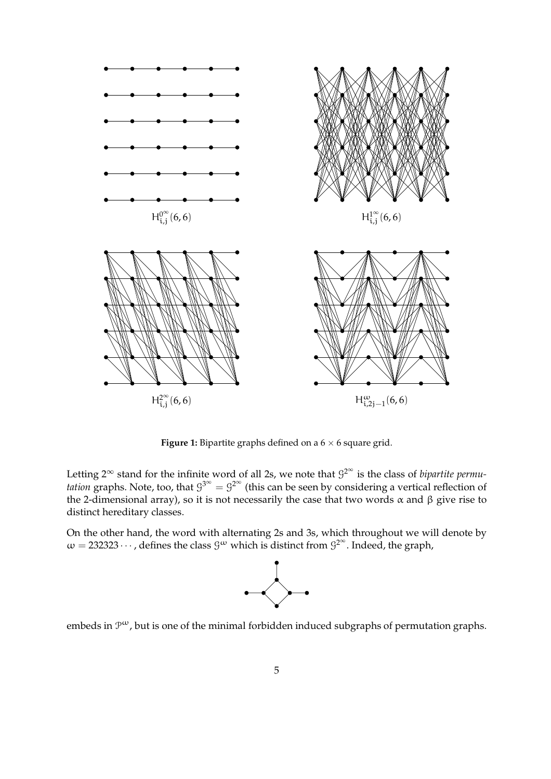<span id="page-4-0"></span>

**Figure 1:** Bipartite graphs defined on a  $6 \times 6$  square grid.

Letting 2<sup>∞</sup> stand for the infinite word of all 2s, we note that  $9^{2^{\infty}}$  is the class of *bipartite permutation* graphs. Note, too, that  $9^{3^{\infty}} = 9^{2^{\infty}}$  (this can be seen by considering a vertical reflection of the 2-dimensional array), so it is not necessarily the case that two words  $\alpha$  and  $\beta$  give rise to distinct hereditary classes.

On the other hand, the word with alternating 2s and 3s, which throughout we will denote by  $\omega = 232323\cdots$  , defines the class  $\mathcal{G}^{\omega}$  which is distinct from  $\mathcal{G}^{2^{\infty}}$ . Indeed, the graph,



embeds in  $\mathcal{P}^{\omega}$ , but is one of the minimal forbidden induced subgraphs of permutation graphs.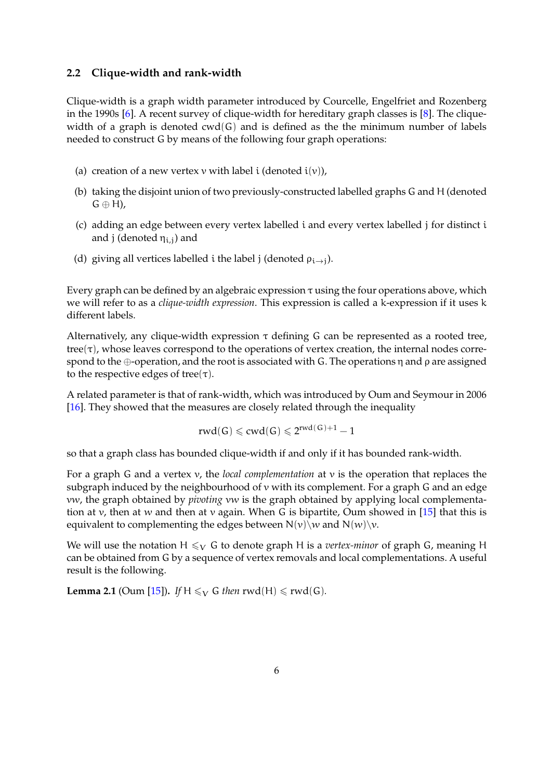#### <span id="page-5-0"></span>**2.2 Clique-width and rank-width**

Clique-width is a graph width parameter introduced by Courcelle, Engelfriet and Rozenberg in the 1990s [\[6\]](#page-25-7). A recent survey of clique-width for hereditary graph classes is [\[8\]](#page-25-4). The cliquewidth of a graph is denoted  $\text{cwd}(G)$  and is defined as the the minimum number of labels needed to construct G by means of the following four graph operations:

- (a) creation of a new vertex  $v$  with label i (denoted  $i(v)$ ),
- (b) taking the disjoint union of two previously-constructed labelled graphs G and H (denoted  $G \oplus H$ ),
- (c) adding an edge between every vertex labelled i and every vertex labelled j for distinct i and j (denoted  $\eta_{i,j}$ ) and
- (d) giving all vertices labelled i the label j (denoted  $\rho_{i\rightarrow j}$ ).

Every graph can be defined by an algebraic expression  $\tau$  using the four operations above, which we will refer to as a *clique-width expression*. This expression is called a k-expression if it uses k different labels.

Alternatively, any clique-width expression  $\tau$  defining G can be represented as a rooted tree,  $tree(\tau)$ , whose leaves correspond to the operations of vertex creation, the internal nodes correspond to the ⊕-operation, and the root is associated with G. The operations η and ρ are assigned to the respective edges of tree $(\tau)$ .

A related parameter is that of rank-width, which was introduced by Oum and Seymour in 2006 [\[16\]](#page-26-1). They showed that the measures are closely related through the inequality

$$
rwd(G) \leqslant cwd(G) \leqslant 2^{rwd(G)+1}-1
$$

so that a graph class has bounded clique-width if and only if it has bounded rank-width.

For a graph G and a vertex v, the *local complementation* at v is the operation that replaces the subgraph induced by the neighbourhood of v with its complement. For a graph G and an edge vw, the graph obtained by *pivoting* vw is the graph obtained by applying local complementa-tion at v, then at w and then at v again. When G is bipartite, Oum showed in [\[15\]](#page-25-8) that this is equivalent to complementing the edges between  $N(v)\wedge w$  and  $N(w)\vee v$ .

We will use the notation H  $\leq_V G$  to denote graph H is a *vertex-minor* of graph G, meaning H can be obtained from G by a sequence of vertex removals and local complementations. A useful result is the following.

<span id="page-5-1"></span>**Lemma 2.1** (Oum [\[15\]](#page-25-8)). *If*  $H \leq_V G$  *then* rwd(H)  $\leq$  rwd(G)*.*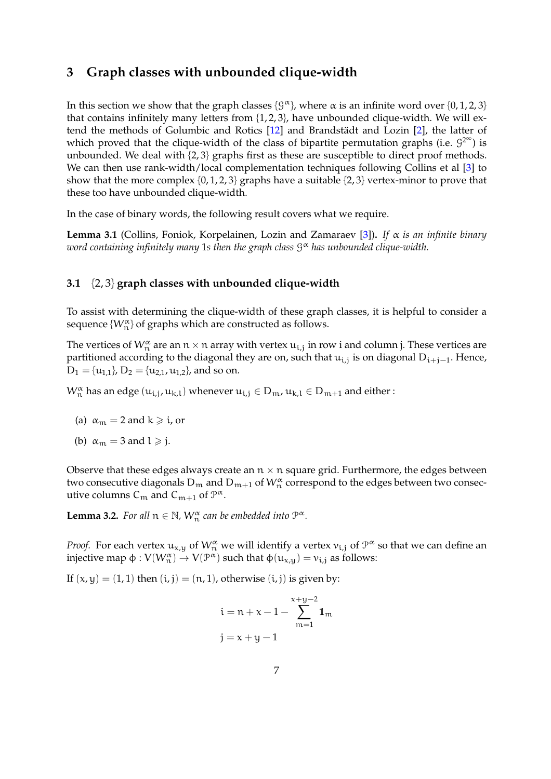## <span id="page-6-0"></span>**3 Graph classes with unbounded clique-width**

In this section we show that the graph classes  $\{\mathcal{G}^{\alpha}\}\text{, where } \alpha$  is an infinite word over  $\{0, 1, 2, 3\}$ that contains infinitely many letters from {1, 2, 3}, have unbounded clique-width. We will ex-tend the methods of Golumbic and Rotics [\[12\]](#page-25-9) and Brandstädt and Lozin [\[2\]](#page-25-10), the latter of which proved that the clique-width of the class of bipartite permutation graphs (i.e.  $9^{2^{\infty}}$ ) is unbounded. We deal with {2, 3} graphs first as these are susceptible to direct proof methods. We can then use rank-width/local complementation techniques following Collins et al [\[3\]](#page-25-5) to show that the more complex  $\{0, 1, 2, 3\}$  graphs have a suitable  $\{2, 3\}$  vertex-minor to prove that these too have unbounded clique-width.

In the case of binary words, the following result covers what we require.

<span id="page-6-1"></span>**Lemma 3.1** (Collins, Foniok, Korpelainen, Lozin and Zamaraev [\[3\]](#page-25-5))**.** *If* α *is an infinite binary word containing infinitely many* 1*s then the graph class* G <sup>α</sup> *has unbounded clique-width.*

#### **3.1** {2, 3} **graph classes with unbounded clique-width**

To assist with determining the clique-width of these graph classes, it is helpful to consider a sequence  $\{W_n^{\alpha}\}$  of graphs which are constructed as follows.

The vertices of  $W^{\alpha}_{n}$  are an  $n \times n$  array with vertex  $u_{i,j}$  in row i and column j. These vertices are partitioned according to the diagonal they are on, such that  $\mathfrak{u}_{i,j}$  is on diagonal  $D_{i+j-1}$ . Hence,  $D_1 = \{u_{1,1}\}, D_2 = \{u_{2,1}, u_{1,2}\}, \text{and so on.}$ 

 $W_n^{\alpha}$  has an edge  $(u_{i,j},u_{k,l})$  whenever  $u_{i,j}\in D_m$ ,  $u_{k,l}\in D_{m+1}$  and either :

- (a)  $\alpha_m = 2$  and  $k \geq 1$ , or
- (b)  $\alpha_m = 3$  and  $l \geq j$ .

Observe that these edges always create an  $n \times n$  square grid. Furthermore, the edges between two consecutive diagonals  $\mathsf{D}_\mathfrak{m}$  and  $\mathsf{D}_{\mathfrak{m}+1}$  of  $\mathsf{W}^\alpha_\mathfrak{n}$  correspond to the edges between two consecutive columns  $C_m$  and  $C_{m+1}$  of  $\mathcal{P}^{\alpha}$ .

**Lemma 3.2.** *For all*  $n \in \mathbb{N}$ *,*  $W_n^{\alpha}$  *can be embedded into*  $P^{\alpha}$ *.* 

*Proof.* For each vertex  $u_{x,y}$  of  $W_n^{\alpha}$  we will identify a vertex  $v_{i,j}$  of  $\mathcal{P}^{\alpha}$  so that we can define an injective map  $\phi: V(W_n^{\alpha}) \to V(\mathcal{P}^{\alpha})$  such that  $\phi(u_{x,y}) = v_{i,j}$  as follows:

If  $(x, y) = (1, 1)$  then  $(i, j) = (n, 1)$ , otherwise  $(i, j)$  is given by:

$$
i = n + x - 1 - \sum_{m=1}^{x+y-2} 1_m
$$
  

$$
j = x + y - 1
$$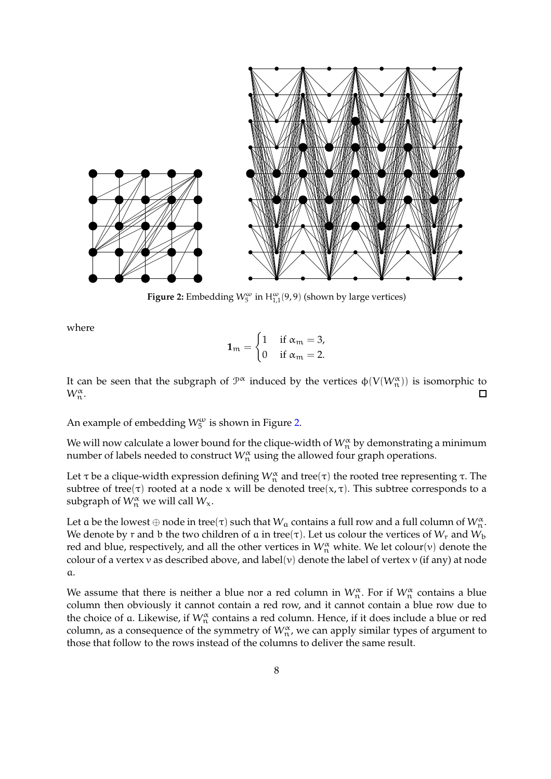<span id="page-7-0"></span>

**Figure 2:** Embedding  $W_5^{\omega}$  in  $H_{1,1}^{\omega}(9,9)$  (shown by large vertices)

where

$$
1_m = \begin{cases} 1 & \text{if } \alpha_m = 3, \\ 0 & \text{if } \alpha_m = 2. \end{cases}
$$

It can be seen that the subgraph of  $\mathcal{P}^{\alpha}$  induced by the vertices  $\varphi(V(W^{\alpha}_{n}))$  is isomorphic to  $W_n^{\alpha}$ .  $\Box$ 

An example of embedding  $W_5^{\omega}$  is shown in Figure [2.](#page-7-0)

We will now calculate a lower bound for the clique-width of  $\mathcal{W}_n^{\alpha}$  by demonstrating a minimum number of labels needed to construct  $W_n^{\alpha}$  using the allowed four graph operations.

Let τ be a clique-width expression defining  $\mathcal{W}_n^\alpha$  and tree $(\tau)$  the rooted tree representing τ. The subtree of tree( $\tau$ ) rooted at a node x will be denoted tree( $x, \tau$ ). This subtree corresponds to a subgraph of  $W_n^{\alpha}$  we will call  $W_{\chi}$ .

Let a be the lowest  $\oplus$  node in tree(τ) such that  $W_{\alpha}$  contains a full row and a full column of  $W^{\alpha}_{\mathfrak{n}}.$ We denote by r and b the two children of a in tree( $\tau$ ). Let us colour the vertices of  $W_r$  and  $W_b$ red and blue, respectively, and all the other vertices in  $W_n^{\alpha}$  white. We let colour(v) denote the colour of a vertex v as described above, and label(v) denote the label of vertex v (if any) at node a.

We assume that there is neither a blue nor a red column in  $W^{\alpha}_{\mathfrak{n}}$ . For if  $W^{\alpha}_{\mathfrak{n}}$  contains a blue column then obviously it cannot contain a red row, and it cannot contain a blue row due to the choice of a. Likewise, if  $W_n^{\alpha}$  contains a red column. Hence, if it does include a blue or red column, as a consequence of the symmetry of  $W_n^{\alpha}$ , we can apply similar types of argument to those that follow to the rows instead of the columns to deliver the same result.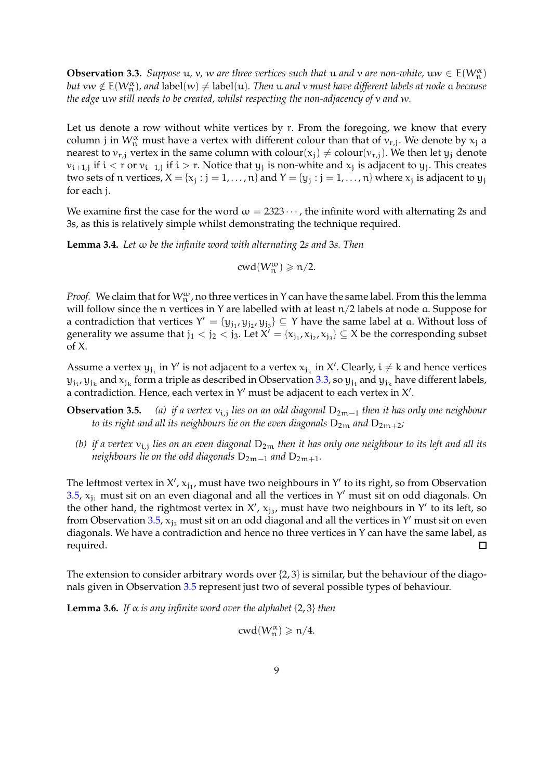<span id="page-8-0"></span>**Observation 3.3.** *Suppose*  $u$ ,  $v$ ,  $w$  *are three vertices such that*  $u$  *and*  $v$  *are non-white*,  $uw \in E(W_n^{\alpha})$  $but\,$   $vw\notin E(W^{\alpha}_{n})$ , and  $label(w)\neq$  label $(u)$ . Then  $u$  and  $v$  must have different labels at node  $a$  because *the edge* uw *still needs to be created, whilst respecting the non-adjacency of* v *and* w*.*

Let us denote a row without white vertices by r. From the foregoing, we know that every column j in  $W^{\alpha}_{n}$  must have a vertex with different colour than that of  $v_{r,j}$ . We denote by  $x_j$  a nearest to  $v_{r,i}$  vertex in the same column with colour( $x_i$ )  $\neq$  colour( $v_{r,i}$ ). We then let  $y_i$  denote  $v_{i+1,j}$  if  $i < r$  or  $v_{i-1,j}$  if  $i > r$ . Notice that  $y_j$  is non-white and  $x_j$  is adjacent to  $y_j$ . This creates two sets of  $n$  vertices,  $X = \{x_j : j = 1, ..., n\}$  and  $Y = \{y_j : j = 1, ..., n\}$  where  $x_j$  is adjacent to  $y_j$ for each j.

We examine first the case for the word  $\omega = 2323 \cdots$ , the infinite word with alternating 2s and 3s, as this is relatively simple whilst demonstrating the technique required.

<span id="page-8-1"></span>**Lemma 3.4.** *Let* ω *be the infinite word with alternating* 2*s and* 3*s. Then*

$$
cwd(W_n^{\omega}) \geqslant n/2.
$$

*Proof.* We claim that for  $W_{n}^{\omega}$ , no three vertices in Y can have the same label. From this the lemma will follow since the n vertices in Y are labelled with at least  $n/2$  labels at node a. Suppose for a contradiction that vertices  $Y' = {y_{j_1}, y_{j_2}, y_{j_3}} \subseteq Y$  have the same label at a. Without loss of generality we assume that  $j_1 < j_2 < j_3$ . Let  $X' = \{x_{j_1}, x_{j_2}, x_{j_3}\} \subseteq X$  be the corresponding subset of X.

Assume a vertex  $y_{j_i}$  in Y' is not adjacent to a vertex  $x_{j_k}$  in X'. Clearly,  $i \neq k$  and hence vertices  ${\sf y}_{\rm j_{\rm t}}, {\sf y}_{\rm j_{\rm k}}$  and  ${\sf x}_{\rm j_{\rm k}}$  form a triple as described in Observation [3.3,](#page-8-0) so  ${\sf y}_{\rm j_{\rm t}}$  and  ${\sf y}_{\rm j_{\rm k}}$  have different labels, a contradiction. Hence, each vertex in Y' must be adjacent to each vertex in X'.

- **Observation 3.5.** *(a) if a vertex* vi,<sup>j</sup> *lies on an odd diagonal* D2m−<sup>1</sup> *then it has only one neighbour to its right and all its neighbours lie on the even diagonals*  $D_{2m}$  *and*  $D_{2m+2}$ *;* 
	- (b) *if a vertex*  $v_{\rm i,j}$  *lies on an even diagonal*  ${\rm D_{2m}}$  *then it has only one neighbour to its left and all its neighbours lie on the odd diagonals*  $D_{2m-1}$  *and*  $D_{2m+1}$ *.*

The leftmost vertex in X',  $x_{j_1}$ , must have two neighbours in Y' to its right, so from Observation 3.5,  $x_{j_1}$  must sit on an even diagonal and all the vertices in Y' must sit on odd diagonals. On the other hand, the rightmost vertex in  $X'$ ,  $x_{j_3}$ , must have two neighbours in Y' to its left, so from Observation 3.5,  $\mathbf{x}_{j_3}$  must sit on an odd diagonal and all the vertices in Y' must sit on even diagonals. We have a contradiction and hence no three vertices in Y can have the same label, as required.  $\Box$ 

The extension to consider arbitrary words over {2, 3} is similar, but the behaviour of the diagonals given in Observation 3.5 represent just two of several possible types of behaviour.

<span id="page-8-2"></span>**Lemma 3.6.** *If*  $\alpha$  *is any infinite word over the alphabet*  $\{2, 3\}$  *then* 

$$
cwd(W_n^\alpha)\geqslant n/4.
$$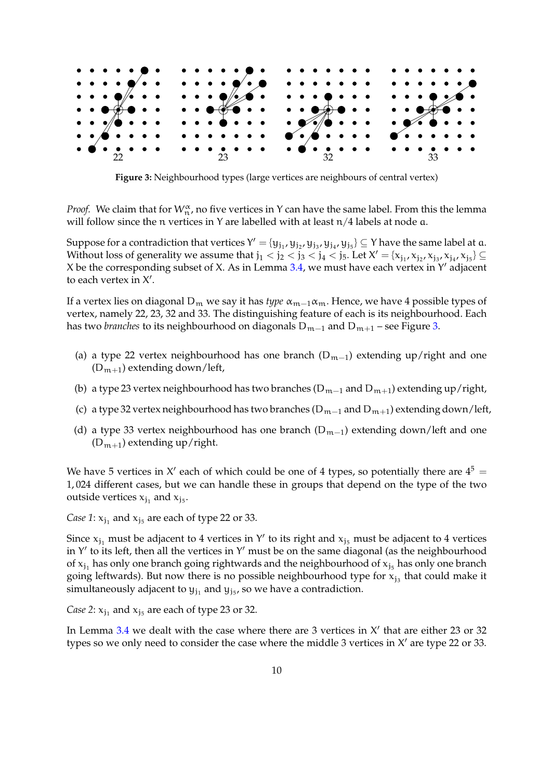<span id="page-9-0"></span>

**Figure 3:** Neighbourhood types (large vertices are neighbours of central vertex)

*Proof.* We claim that for  $W_n^{\alpha}$ , no five vertices in Y can have the same label. From this the lemma will follow since the n vertices in Y are labelled with at least  $n/4$  labels at node  $a$ .

Suppose for a contradiction that vertices  $Y'=\{y_{j_1},y_{j_2},y_{j_3},y_{j_4},y_{j_5}\}\subseteq Y$  have the same label at  $a$ . Without loss of generality we assume that  $j_1 < j_2 < j_3 < j_4 < j_5$ . Let  $X' = {x_{j_1}, x_{j_2}, x_{j_3}, x_{j_4}, x_{j_5}} \subseteq$ X be the corresponding subset of X. As in Lemma [3.4,](#page-8-1) we must have each vertex in Y' adjacent to each vertex in  $X'$ .

If a vertex lies on diagonal D<sub>m</sub> we say it has *type*  $\alpha_{m-1}\alpha_m$ . Hence, we have 4 possible types of vertex, namely 22, 23, 32 and 33. The distinguishing feature of each is its neighbourhood. Each has two *branches* to its neighbourhood on diagonals  $D_{m-1}$  and  $D_{m+1}$  – see Figure [3.](#page-9-0)

- (a) a type 22 vertex neighbourhood has one branch  $(D_{m-1})$  extending up/right and one  $(D_{m+1})$  extending down/left,
- (b) a type 23 vertex neighbourhood has two branches ( $D_{m-1}$  and  $D_{m+1}$ ) extending up/right,
- (c) a type 32 vertex neighbourhood has two branches ( $D_{m-1}$  and  $D_{m+1}$ ) extending down/left,
- (d) a type 33 vertex neighbourhood has one branch  $(D_{m-1})$  extending down/left and one  $(D_{m+1})$  extending up/right.

We have 5 vertices in X' each of which could be one of 4 types, so potentially there are  $4^5 =$ 1, 024 different cases, but we can handle these in groups that depend on the type of the two outside vertices  $x_{j_1}$  and  $x_{j_5}$ .

*Case 1*:  $x_{j_1}$  and  $x_{j_5}$  are each of type 22 or 33.

Since  $x_{j_1}$  must be adjacent to 4 vertices in Y' to its right and  $x_{j_5}$  must be adjacent to 4 vertices in Y' to its left, then all the vertices in Y' must be on the same diagonal (as the neighbourhood of  $x_{j_1}$  has only one branch going rightwards and the neighbourhood of  $x_{j_5}$  has only one branch going leftwards). But now there is no possible neighbourhood type for  $\mathsf{x}_{\mathsf{j}_3}$  that could make it simultaneously adjacent to  $y_{j_1}$  and  $y_{j_5}$ , so we have a contradiction.

*Case 2*:  $x_{j_1}$  and  $x_{j_5}$  are each of type 23 or 32.

In Lemma  $3.4$  we dealt with the case where there are 3 vertices in  $X'$  that are either 23 or 32 types so we only need to consider the case where the middle 3 vertices in X' are type 22 or 33.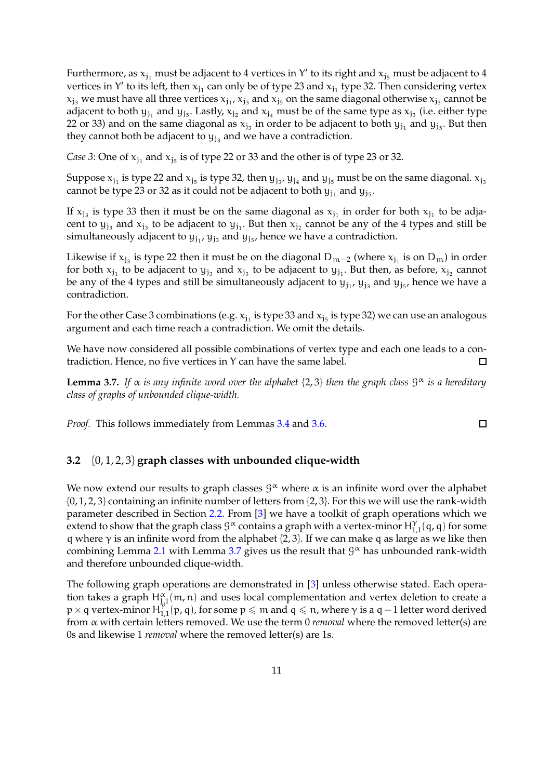Furthermore, as  $x_{j_1}$  must be adjacent to 4 vertices in Y' to its right and  $x_{j_5}$  must be adjacent to 4 vertices in Y' to its left, then  $x_{j_1}$  can only be of type 23 and  $x_{j_1}$  type 32. Then considering vertex  $x_{j_3}$  we must have all three vertices  $x_{j_1}$ ,  $x_{j_3}$  and  $x_{j_5}$  on the same diagonal otherwise  $x_{j_3}$  cannot be adjacent to both  $y_{j_1}$  and  $y_{j_5}$ . Lastly,  $x_{j_2}$  and  $x_{j_4}$  must be of the same type as  $x_{j_3}$  (i.e. either type 22 or 33) and on the same diagonal as  $\rm{x_{j_3}}$  in order to be adjacent to both  $\rm{y_{j_1}}$  and  $\rm{y_{j_5}}.$  But then they cannot both be adjacent to  $y_{j_3}$  and we have a contradiction.

*Case* 3: One of  $x_{j_1}$  and  $x_{j_5}$  is of type 22 or 33 and the other is of type 23 or 32.

Suppose  $\rm{x_{j_1}}$  is type 22 and  $\rm{x_{j_5}}$  is type 32, then  $\rm{y_{j_3}}$ ,  $\rm{y_{j_4}}$  and  $\rm{y_{j_5}}$  must be on the same diagonal.  $\rm{x_{j_3}}$ cannot be type 23 or 32 as it could not be adjacent to both  $y_{j_1}$  and  $y_{j_5}$ .

If  $x_{j_3}$  is type 33 then it must be on the same diagonal as  $x_{j_1}$  in order for both  $x_{j_1}$  to be adjacent to  $y_{j_3}$  and  $x_{j_3}$  to be adjacent to  $y_{j_1}$ . But then  $x_{j_2}$  cannot be any of the 4 types and still be simultaneously adjacent to  $y_{j_1}$ ,  $y_{j_3}$  and  $y_{j_5}$ , hence we have a contradiction.

Likewise if  $x_{j_3}$  is type 22 then it must be on the diagonal D<sub>m−2</sub> (where  $x_{j_1}$  is on D<sub>m</sub>) in order for both  $x_{j_1}$  to be adjacent to  $y_{j_3}$  and  $x_{j_3}$  to be adjacent to  $y_{j_1}$ . But then, as before,  $x_{j_2}$  cannot be any of the 4 types and still be simultaneously adjacent to  $y_{j_1}$ ,  $y_{j_3}$  and  $y_{j_5}$ , hence we have a contradiction.

For the other Case 3 combinations (e.g.  $x_{j_1}$  is type 33 and  $x_{j_5}$  is type 32) we can use an analogous argument and each time reach a contradiction. We omit the details.

We have now considered all possible combinations of vertex type and each one leads to a contradiction. Hence, no five vertices in Y can have the same label.  $\Box$ 

<span id="page-10-0"></span>**Lemma 3.7.** *If* α *is any infinite word over the alphabet* {2, 3} *then the graph class* G <sup>α</sup> *is a hereditary class of graphs of unbounded clique-width.*

*Proof.* This follows immediately from Lemmas [3.4](#page-8-1) and [3.6.](#page-8-2)

## **3.2** {0, 1, 2, 3} **graph classes with unbounded clique-width**

We now extend our results to graph classes  $\mathcal{G}^{\alpha}$  where  $\alpha$  is an infinite word over the alphabet  $\{0, 1, 2, 3\}$  containing an infinite number of letters from  $\{2, 3\}$ . For this we will use the rank-width parameter described in Section [2.2.](#page-5-0) From [\[3\]](#page-25-5) we have a toolkit of graph operations which we extend to show that the graph class  $\mathcal{G}^{\alpha}$  contains a graph with a vertex-minor  $H^{\gamma}_{1,1}(\mathsf{q},\mathsf{q})$  for some q where  $\gamma$  is an infinite word from the alphabet {2, 3}. If we can make q as large as we like then combining Lemma [2.1](#page-5-1) with Lemma [3.7](#page-10-0) gives us the result that  $\mathcal{G}^{\alpha}$  has unbounded rank-width and therefore unbounded clique-width.

The following graph operations are demonstrated in [\[3\]](#page-25-5) unless otherwise stated. Each operation takes a graph  $H^{\alpha}_{1,1}(\mathfrak{m},\mathfrak{n})$  and uses local complementation and vertex deletion to create a  $p \times q$  vertex-minor  $H_{1,1}^{\gamma} (p,q)$ , for some  $p \leq m$  and  $q \leq n$ , where  $\gamma$  is a  $q-1$  letter word derived from α with certain letters removed. We use the term 0 *removal* where the removed letter(s) are 0s and likewise 1 *removal* where the removed letter(s) are 1s.

 $\Box$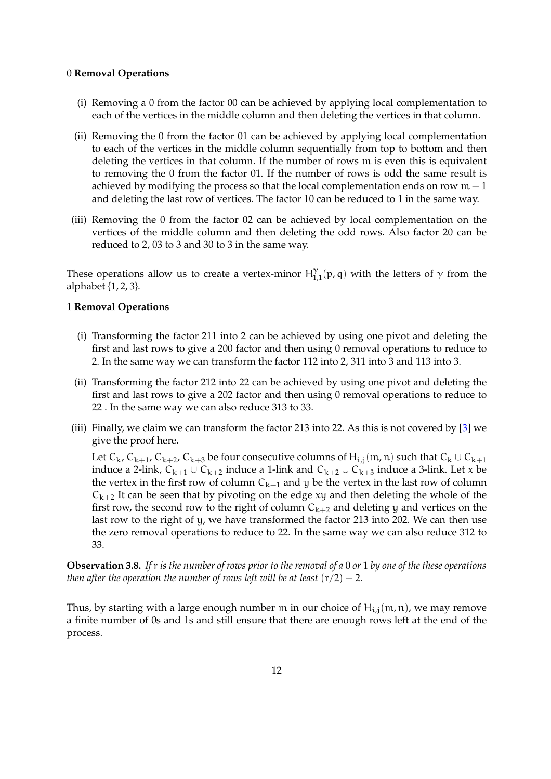#### 0 **Removal Operations**

- (i) Removing a 0 from the factor 00 can be achieved by applying local complementation to each of the vertices in the middle column and then deleting the vertices in that column.
- (ii) Removing the 0 from the factor 01 can be achieved by applying local complementation to each of the vertices in the middle column sequentially from top to bottom and then deleting the vertices in that column. If the number of rows m is even this is equivalent to removing the 0 from the factor 01. If the number of rows is odd the same result is achieved by modifying the process so that the local complementation ends on row  $m - 1$ and deleting the last row of vertices. The factor 10 can be reduced to 1 in the same way.
- (iii) Removing the 0 from the factor 02 can be achieved by local complementation on the vertices of the middle column and then deleting the odd rows. Also factor 20 can be reduced to 2, 03 to 3 and 30 to 3 in the same way.

These operations allow us to create a vertex-minor  $H_{1,1}^{\gamma}(p,q)$  with the letters of  $\gamma$  from the alphabet  $\{1, 2, 3\}$ .

#### 1 **Removal Operations**

- (i) Transforming the factor 211 into 2 can be achieved by using one pivot and deleting the first and last rows to give a 200 factor and then using 0 removal operations to reduce to 2. In the same way we can transform the factor 112 into 2, 311 into 3 and 113 into 3.
- (ii) Transforming the factor 212 into 22 can be achieved by using one pivot and deleting the first and last rows to give a 202 factor and then using 0 removal operations to reduce to 22 . In the same way we can also reduce 313 to 33.
- (iii) Finally, we claim we can transform the factor 213 into 22. As this is not covered by [\[3\]](#page-25-5) we give the proof here.

Let  $C_k$ ,  $C_{k+1}$ ,  $C_{k+2}$ ,  $C_{k+3}$  be four consecutive columns of  $H_{i,j}(m,n)$  such that  $C_k \cup C_{k+1}$ induce a 2-link,  $C_{k+1} \cup C_{k+2}$  induce a 1-link and  $C_{k+2} \cup C_{k+3}$  induce a 3-link. Let x be the vertex in the first row of column  $C_{k+1}$  and y be the vertex in the last row of column  $C_{k+2}$  It can be seen that by pivoting on the edge xy and then deleting the whole of the first row, the second row to the right of column  $C_{k+2}$  and deleting y and vertices on the last row to the right of y, we have transformed the factor 213 into 202. We can then use the zero removal operations to reduce to 22. In the same way we can also reduce 312 to 33.

<span id="page-11-0"></span>**Observation 3.8.** *If* r *is the number of rows prior to the removal of a* 0 *or* 1 *by one of the these operations then after the operation the number of rows left will be at least*  $(r/2) - 2$ *.* 

Thus, by starting with a large enough number m in our choice of  $H_{i,j}(m,n)$ , we may remove a finite number of 0s and 1s and still ensure that there are enough rows left at the end of the process.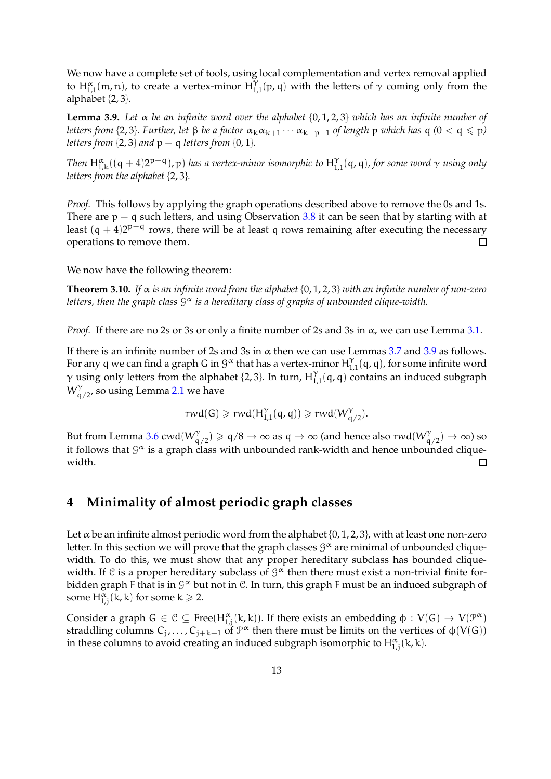We now have a complete set of tools, using local complementation and vertex removal applied to  $H_{1,1}^{\alpha}(m,n)$ , to create a vertex-minor  $H_{1,1}^{\gamma}(p,q)$  with the letters of  $\gamma$  coming only from the alphabet  $\{2, 3\}$ .

<span id="page-12-2"></span>**Lemma 3.9.** *Let* α *be an infinite word over the alphabet* {0, 1, 2, 3} *which has an infinite number of letters from* {2,3}*. Further, let*  $\beta$  *be a factor*  $\alpha_k \alpha_{k+1} \cdots \alpha_{k+p-1}$  *of length*  $p$  *which has*  $q$  (0 <  $q \leq p$ ) *letters from*  $\{2, 3\}$  *and*  $p - q$  *letters from*  $\{0, 1\}$ *.* 

Then  $H_{1,k}^{\alpha}((q + 4)2^{p-q})$ , p) has a vertex-minor isomorphic to  $H_{1,1}^{\gamma}(q,q)$ , for some word  $\gamma$  using only *letters from the alphabet* {2, 3}*.*

*Proof.* This follows by applying the graph operations described above to remove the 0s and 1s. There are  $p - q$  such letters, and using Observation [3.8](#page-11-0) it can be seen that by starting with at least  $(q + 4)2^{p-q}$  rows, there will be at least q rows remaining after executing the necessary  $\Box$ operations to remove them.

We now have the following theorem:

<span id="page-12-0"></span>**Theorem 3.10.** *If*  $\alpha$  *is an infinite word from the alphabet* {0, 1, 2, 3} *with an infinite number of non-zero letters, then the graph class* G <sup>α</sup> *is a hereditary class of graphs of unbounded clique-width.*

*Proof.* If there are no 2s or 3s or only a finite number of 2s and 3s in  $\alpha$ , we can use Lemma [3.1.](#page-6-1)

If there is an infinite number of 2s and 3s in  $\alpha$  then we can use Lemmas [3.7](#page-10-0) and [3.9](#page-12-2) as follows. For any q we can find a graph G in  $\mathcal{G}^{\alpha}$  that has a vertex-minor  $\mathsf{H}^{\gamma}_{1,1}(\mathsf{q},\mathsf{q})$ , for some infinite word  $\gamma$  using only letters from the alphabet {2, 3}. In turn,  $H_{1,1}^{\gamma}(q, q)$  contains an induced subgraph  $\bar{\mathsf{W}}^{\gamma}_{\mathsf{q}/2'}$  so using Lemma [2.1](#page-5-1) we have

$$
\text{rwd}(G) \geqslant \text{rwd}(H_{1,1}^{\gamma}(\mathfrak{q},\mathfrak{q})) \geqslant \text{rwd}(W_{\mathfrak{q}/2}^{\gamma}).
$$

But from Lemma [3.6](#page-8-2)  $\text{cwd}(W_{q/2}^{\gamma}) \geq q/8 \to \infty$  as  $q \to \infty$  (and hence also  $\text{rwd}(W_{q/2}^{\gamma}) \to \infty$ ) so it follows that  $\mathcal{G}^{\boldsymbol{\alpha}}$  is a graph class with unbounded rank-width and hence unbounded cliquewidth.  $\Box$ 

## <span id="page-12-1"></span>**4 Minimality of almost periodic graph classes**

Let  $\alpha$  be an infinite almost periodic word from the alphabet {0, 1, 2, 3}, with at least one non-zero letter. In this section we will prove that the graph classes  $\mathcal{G}^{\alpha}$  are minimal of unbounded cliquewidth. To do this, we must show that any proper hereditary subclass has bounded cliquewidth. If C is a proper hereditary subclass of  $\mathcal{G}^{\alpha}$  then there must exist a non-trivial finite forbidden graph F that is in  $9^\alpha$  but not in C. In turn, this graph F must be an induced subgraph of some  $H_{1,j}^{\alpha}(k, k)$  for some  $k \geq 2$ .

Consider a graph  $G \in \mathcal{C} \subseteq \text{Free}(H_{1,j}^{\alpha}(k,k))$ . If there exists an embedding  $\phi: V(G) \to V(\mathcal{P}^{\alpha})$ straddling columns  $C_j, \ldots, C_{j+k-1}$  of  $\mathcal{P}^{\alpha}$  then there must be limits on the vertices of  $\phi(V(G))$ in these columns to avoid creating an induced subgraph isomorphic to  $H^{\alpha}_{1,j}(k, k)$ .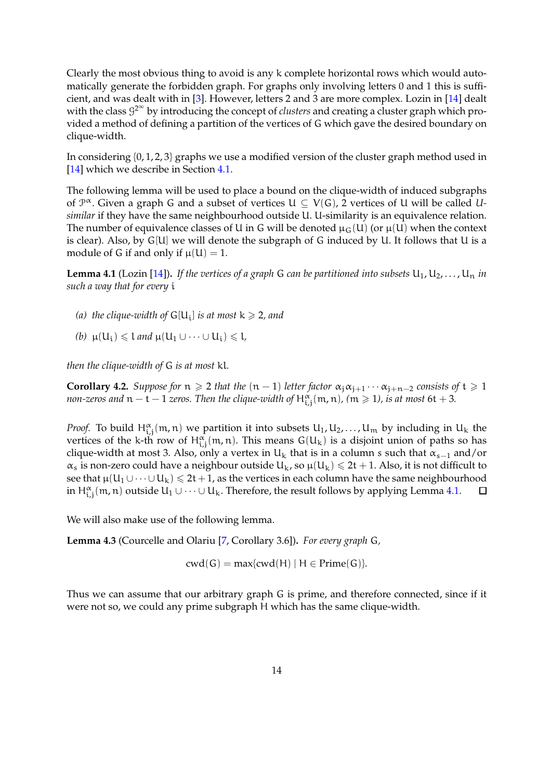Clearly the most obvious thing to avoid is any k complete horizontal rows which would automatically generate the forbidden graph. For graphs only involving letters 0 and 1 this is sufficient, and was dealt with in [\[3\]](#page-25-5). However, letters 2 and 3 are more complex. Lozin in [\[14\]](#page-25-6) dealt with the class G 2∞ by introducing the concept of *clusters* and creating a cluster graph which provided a method of defining a partition of the vertices of G which gave the desired boundary on clique-width.

In considering  $\{0, 1, 2, 3\}$  graphs we use a modified version of the cluster graph method used in [\[14\]](#page-25-6) which we describe in Section [4.1.](#page-14-0)

The following lemma will be used to place a bound on the clique-width of induced subgraphs of  $\mathcal{P}^{\alpha}$ . Given a graph G and a subset of vertices  $U \subseteq V(G)$ , 2 vertices of U will be called U*similar* if they have the same neighbourhood outside U. U-similarity is an equivalence relation. The number of equivalence classes of U in G will be denoted  $\mu_G(U)$  (or  $\mu(U)$  when the context is clear). Also, by G[U] we will denote the subgraph of G induced by U. It follows that U is a module of G if and only if  $\mu(U) = 1$ .

<span id="page-13-0"></span>**Lemma 4.1** (Lozin [\[14\]](#page-25-6)). *If the vertices of a graph* G *can be partitioned into subsets*  $U_1, U_2, \ldots, U_n$  *in such a way that for every* i

- *(a) the clique-width of*  $G[U_i]$  *is at most*  $k \ge 2$ *, and*
- *(b)*  $\mu(U_i)$  ≤ l and  $\mu(U_1 \cup \cdots \cup U_i)$  ≤ l*,*

*then the clique-width of* G *is at most* kl*.*

<span id="page-13-2"></span>**Corollary 4.2.** *Suppose for*  $n \ge 2$  *that the*  $(n-1)$  *letter factor*  $\alpha_j \alpha_{j+1} \cdots \alpha_{j+n-2}$  *consists of*  $t \ge 1$ *non-zeros and*  $n - t - 1$  *zeros. Then the clique-width of*  $H^{\alpha}_{i,j}(m,n)$ *,*  $(m \geqslant 1)$ *, is at most*  $6t + 3$ *.* 

*Proof.* To build  $H^{\alpha}_{i,j}(m,n)$  we partition it into subsets  $U_1, U_2, \ldots, U_m$  by including in  $U_k$  the vertices of the k-th row of  $H^{\alpha}_{i,j}(\mathfrak{m},\mathfrak{n})$ . This means  $G(U_k)$  is a disjoint union of paths so has clique-width at most 3. Also, only a vertex in U<sub>k</sub> that is in a column s such that  $\alpha_{s-1}$  and/or  $\alpha_s$  is non-zero could have a neighbour outside  $U_k$ , so  $\mu(U_k) \leq 2t + 1$ . Also, it is not difficult to see that  $\mu(U_1 \cup \cdots \cup U_k) \le 2t + 1$ , as the vertices in each column have the same neighbourhood in  $H^{\alpha}_{i,j}(m,n)$  outside  $U_1\cup\cdots\cup U_k$ . Therefore, the result follows by applying Lemma [4.1.](#page-13-0)  $\Box$ 

We will also make use of the following lemma.

<span id="page-13-1"></span>**Lemma 4.3** (Courcelle and Olariu [\[7,](#page-25-11) Corollary 3.6])**.** *For every graph* G*,*

 $\text{cwd}(G) = \text{max}\{\text{cwd}(H) \mid H \in \text{Prime}(G)\}.$ 

Thus we can assume that our arbitrary graph G is prime, and therefore connected, since if it were not so, we could any prime subgraph H which has the same clique-width.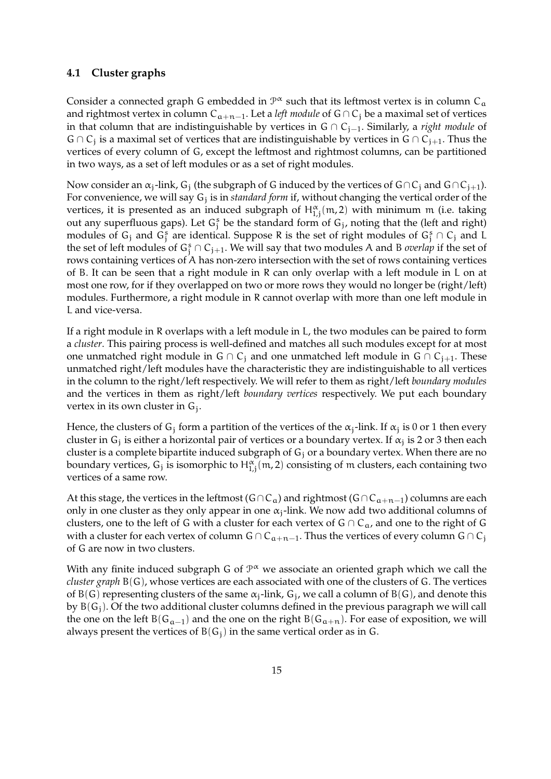#### <span id="page-14-0"></span>**4.1 Cluster graphs**

Consider a connected graph G embedded in  $\mathcal{P}^{\alpha}$  such that its leftmost vertex is in column C<sub>a</sub> and rightmost vertex in column  $C_{a+n-1}$ . Let a *left module* of G∩C<sub>j</sub> be a maximal set of vertices in that column that are indistinguishable by vertices in G ∩ Cj−1. Similarly, a *right module* of  $G \cap C_j$  is a maximal set of vertices that are indistinguishable by vertices in  $G \cap C_{j+1}$ . Thus the vertices of every column of G, except the leftmost and rightmost columns, can be partitioned in two ways, as a set of left modules or as a set of right modules.

Now consider an  $\alpha_j$ -link,  $G_i$  (the subgraph of G induced by the vertices of G∩C<sub>i</sub> and G∩C<sub>i+1</sub>). For convenience, we will say G<sub>j</sub> is in *standard form* if, without changing the vertical order of the vertices, it is presented as an induced subgraph of  $H^{\alpha}_{1,j}(\mathfrak{m},2)$  with minimum  $\mathfrak{m}$  (i.e. taking out any superfluous gaps). Let  $G_j^s$  be the standard form of  $G_j$ , noting that the (left and right) modules of  $G_j$  and  $G_j^s$  are identical. Suppose R is the set of right modules of  $G_j^s \cap C_j$  and L the set of left modules of  $G_j^s \cap C_{j+1}$ . We will say that two modules A and B *overlap* if the set of rows containing vertices of A has non-zero intersection with the set of rows containing vertices of B. It can be seen that a right module in R can only overlap with a left module in L on at most one row, for if they overlapped on two or more rows they would no longer be (right/left) modules. Furthermore, a right module in R cannot overlap with more than one left module in L and vice-versa.

If a right module in R overlaps with a left module in L, the two modules can be paired to form a *cluster*. This pairing process is well-defined and matches all such modules except for at most one unmatched right module in G ∩ C<sub>j</sub> and one unmatched left module in G ∩ C<sub>j+1</sub>. These unmatched right/left modules have the characteristic they are indistinguishable to all vertices in the column to the right/left respectively. We will refer to them as right/left *boundary modules* and the vertices in them as right/left *boundary vertices* respectively. We put each boundary vertex in its own cluster in G<sub>j</sub>.

Hence, the clusters of G<sub>j</sub> form a partition of the vertices of the  $\alpha_j$ -link. If  $\alpha_j$  is 0 or 1 then every cluster in G<sub>j</sub> is either a horizontal pair of vertices or a boundary vertex. If  $\alpha_j$  is 2 or 3 then each cluster is a complete bipartite induced subgraph of  $G_i$  or a boundary vertex. When there are no boundary vertices,  $G_j$  is isomorphic to  $H^{\alpha}_{1,j}(\mathfrak{m},2)$  consisting of  $\mathfrak{m}$  clusters, each containing two vertices of a same row.

At this stage, the vertices in the leftmost ( $G \cap C_a$ ) and rightmost ( $G \cap C_{a+n-1}$ ) columns are each only in one cluster as they only appear in one  $\alpha_i$ -link. We now add two additional columns of clusters, one to the left of G with a cluster for each vertex of  $G \cap C_{\alpha}$ , and one to the right of G with a cluster for each vertex of column G ∩  $C_{a+n-1}$ . Thus the vertices of every column G ∩  $C_i$ of G are now in two clusters.

With any finite induced subgraph G of  $\mathcal{P}^{\alpha}$  we associate an oriented graph which we call the *cluster graph* B(G), whose vertices are each associated with one of the clusters of G. The vertices of B(G) representing clusters of the same  $\alpha_j$ -link,  $G_j$ , we call a column of B(G), and denote this by  $B(G_i)$ . Of the two additional cluster columns defined in the previous paragraph we will call the one on the left B( $G_{a-1}$ ) and the one on the right B( $G_{a+n}$ ). For ease of exposition, we will always present the vertices of  $B(G_i)$  in the same vertical order as in G.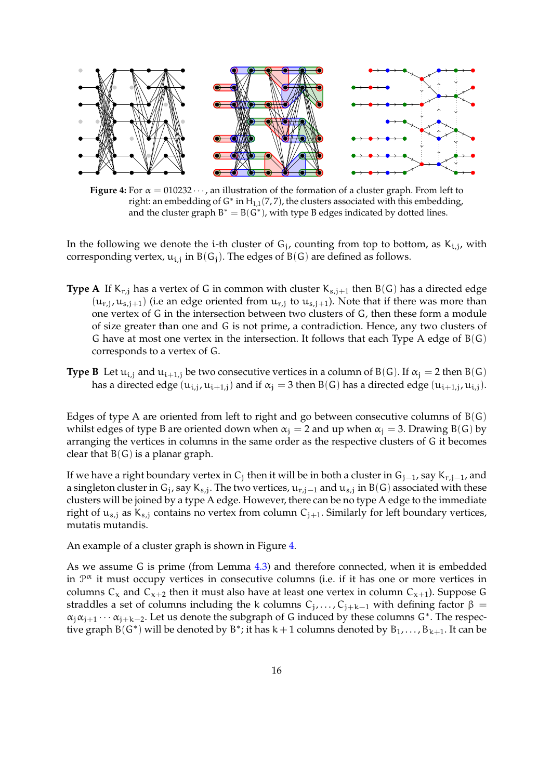<span id="page-15-0"></span>

**Figure 4:** For  $\alpha = 010232 \cdots$ , an illustration of the formation of a cluster graph. From left to right: an embedding of G\* in  $H_{1,1}(7,7)$ , the clusters associated with this embedding, and the cluster graph  $B^* = B(G^*)$ , with type B edges indicated by dotted lines.

In the following we denote the i-th cluster of  $G_j$ , counting from top to bottom, as  $K_{i,j}$ , with corresponding vertex,  $u_{i,j}$  in  $B(G_j)$ . The edges of  $B(G)$  are defined as follows.

- **Type A** If  $K_{r,i}$  has a vertex of G in common with cluster  $K_{s,i+1}$  then  $B(G)$  has a directed edge  $(u_{r,j}, u_{s,j+1})$  (i.e an edge oriented from  $u_{r,j}$  to  $u_{s,j+1}$ ). Note that if there was more than one vertex of G in the intersection between two clusters of G, then these form a module of size greater than one and G is not prime, a contradiction. Hence, any two clusters of G have at most one vertex in the intersection. It follows that each Type A edge of  $B(G)$ corresponds to a vertex of G.
- **Type B** Let  $u_{i,j}$  and  $u_{i+1,j}$  be two consecutive vertices in a column of B(G). If  $\alpha_j = 2$  then B(G) has a directed edge  $(u_{i,j},u_{i+1,j})$  and if  $\alpha_j=3$  then  $B(G)$  has a directed edge  $(u_{i+1,j},u_{i,j})$ .

Edges of type A are oriented from left to right and go between consecutive columns of  $B(G)$ whilst edges of type B are oriented down when  $\alpha_i = 2$  and up when  $\alpha_i = 3$ . Drawing B(G) by arranging the vertices in columns in the same order as the respective clusters of G it becomes clear that  $B(G)$  is a planar graph.

If we have a right boundary vertex in  $\mathsf{C}_\mathsf{j}$  then it will be in both a cluster in  $\mathsf{G}_{\mathsf{j}-1}$ , say  $\mathsf{K}_{\mathsf{r},\mathsf{j}-1}$ , and a singleton cluster in G<sub>j</sub>, say K<sub>s,j</sub>. The two vertices,  $\mu_{r,j-1}$  and  $\mu_{s,j}$  in B(G) associated with these clusters will be joined by a type A edge. However, there can be no type A edge to the immediate right of  $u_{s,j}$  as  $K_{s,j}$  contains no vertex from column  $C_{j+1}$ . Similarly for left boundary vertices, mutatis mutandis.

An example of a cluster graph is shown in Figure [4.](#page-15-0)

As we assume G is prime (from Lemma [4.3\)](#page-13-1) and therefore connected, when it is embedded in  $\mathcal{P}^{\alpha}$  it must occupy vertices in consecutive columns (i.e. if it has one or more vertices in columns  $C_x$  and  $C_{x+2}$  then it must also have at least one vertex in column  $C_{x+1}$ ). Suppose G straddles a set of columns including the k columns  $C_j, \ldots, C_{j+k-1}$  with defining factor  $\beta =$  $\alpha_j \alpha_{j+1} \cdots \alpha_{j+k-2}$ . Let us denote the subgraph of G induced by these columns G<sup>\*</sup>. The respective graph  $\hat{B}(G^*)$  will be denoted by  $B^*$ ; it has  $k+1$  columns denoted by  $B_1, \ldots, B_{k+1}$ . It can be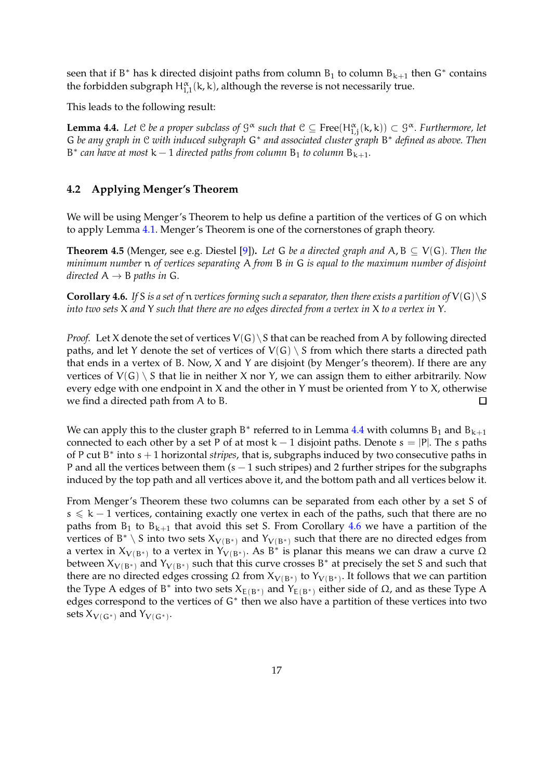seen that if B<sup>\*</sup> has k directed disjoint paths from column  $B_1$  to column  $B_{k+1}$  then  $G^*$  contains the forbidden subgraph  $H^{\alpha}_{1,1}(\mathsf{k},\mathsf{k})$ , although the reverse is not necessarily true.

This leads to the following result:

<span id="page-16-0"></span>**Lemma 4.4.** Let  $C$  be a proper subclass of  $G^{\alpha}$  such that  $C \subseteq Free(H^{\alpha}_{1,j}(k,k)) \subset G^{\alpha}$ . Furthermore, let G *be any graph in* C *with induced subgraph* G<sup>∗</sup> *and associated cluster graph* B <sup>∗</sup> *defined as above. Then*  $B^*$  can have at most  $k-1$  directed paths from column  $B_1$  to column  $B_{k+1}$ .

## <span id="page-16-2"></span>**4.2 Applying Menger's Theorem**

We will be using Menger's Theorem to help us define a partition of the vertices of G on which to apply Lemma [4.1.](#page-13-0) Menger's Theorem is one of the cornerstones of graph theory.

**Theorem 4.5** (Menger, see e.g. Diestel [\[9\]](#page-25-12)). Let G be a directed graph and  $A, B \subseteq V(G)$ . Then the *minimum number* n *of vertices separating* A *from* B *in* G *is equal to the maximum number of disjoint directed*  $A \rightarrow B$  *paths in* G.

<span id="page-16-1"></span>**Corollary 4.6.** If S is a set of  $n$  *vertices forming such a separator, then there exists a partition of*  $V(G) \ S$ *into two sets* X *and* Y *such that there are no edges directed from a vertex in* X *to a vertex in* Y*.*

*Proof.* Let X denote the set of vertices  $V(G) \setminus S$  that can be reached from A by following directed paths, and let Y denote the set of vertices of  $V(G) \setminus S$  from which there starts a directed path that ends in a vertex of B. Now, X and Y are disjoint (by Menger's theorem). If there are any vertices of  $V(G) \setminus S$  that lie in neither X nor Y, we can assign them to either arbitrarily. Now every edge with one endpoint in X and the other in Y must be oriented from Y to X, otherwise we find a directed path from A to B.  $\Box$ 

We can apply this to the cluster graph B<sup>\*</sup> referred to in Lemma [4.4](#page-16-0) with columns B<sub>1</sub> and B<sub>k+1</sub> connected to each other by a set P of at most  $k - 1$  disjoint paths. Denote  $s = |P|$ . The s paths of P cut B ∗ into s + 1 horizontal *stripes*, that is, subgraphs induced by two consecutive paths in P and all the vertices between them  $(s - 1$  such stripes) and 2 further stripes for the subgraphs induced by the top path and all vertices above it, and the bottom path and all vertices below it.

From Menger's Theorem these two columns can be separated from each other by a set S of  $s \le k - 1$  vertices, containing exactly one vertex in each of the paths, such that there are no paths from  $B_1$  to  $B_{k+1}$  that avoid this set S. From Corollary [4.6](#page-16-1) we have a partition of the vertices of B<sup>\*</sup> \ S into two sets  $X_{V(B^*)}$  and  $Y_{V(B^*)}$  such that there are no directed edges from a vertex in  $X_{V(B^*)}$  to a vertex in  $Y_{V(B^*)}$ . As  $B^*$  is planar this means we can draw a curve  $\Omega$ between  $X_{V(B^*)}$  and  $Y_{V(B^*)}$  such that this curve crosses B<sup>\*</sup> at precisely the set S and such that there are no directed edges crossing Ω from  $X_{V(B^*)}$  to  $Y_{V(B^*)}$ . It follows that we can partition the Type A edges of B<sup>\*</sup> into two sets  $X_{E(B^*)}$  and  $Y_{E(B^*)}$  either side of Ω, and as these Type A edges correspond to the vertices of G<sup>\*</sup> then we also have a partition of these vertices into two sets  $X_{V(G^*)}$  and  $Y_{V(G^*)}.$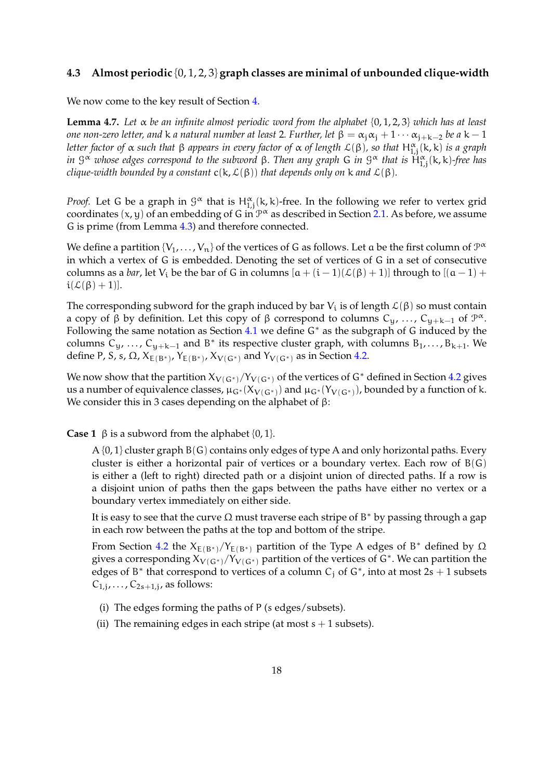#### **4.3 Almost periodic** {0, 1, 2, 3} **graph classes are minimal of unbounded clique-width**

We now come to the key result of Section [4.](#page-12-1)

<span id="page-17-0"></span>**Lemma 4.7.** *Let* α *be an infinite almost periodic word from the alphabet* {0, 1, 2, 3} *which has at least one non-zero letter, and* k *a natural number at least* 2*. Further, let*  $\beta = \alpha_i \alpha_i + 1 \cdots \alpha_{i+k-2}$  *be a* k – 1 *letter factor of* α *such that* β *appears in every factor of* α *of length* L(β)*, so that* H<sup>α</sup> 1,j (k, k) *is a graph in* G <sup>α</sup> *whose edges correspond to the subword* β*. Then any graph* G *in* G <sup>α</sup> *that is* H<sup>α</sup> 1,j (k, k)*-free has clique-width bounded by a constant*  $c(k, \mathcal{L}(\beta))$  *that depends only on* k *and*  $\mathcal{L}(\beta)$ *.* 

*Proof.* Let G be a graph in  $\mathcal{G}^{\alpha}$  that is  $H^{\alpha}_{1,j}(k,k)$ -free. In the following we refer to vertex grid coordinates  $(x, y)$  of an embedding of G in  $\mathcal{P}^{\alpha}$  as described in Section [2.1.](#page-3-0) As before, we assume G is prime (from Lemma [4.3\)](#page-13-1) and therefore connected.

We define a partition  $\{V_1,\ldots,V_n\}$  of the vertices of G as follows. Let  $\frak a$  be the first column of  $\mathcal P^\alpha$ in which a vertex of G is embedded. Denoting the set of vertices of G in a set of consecutive columns as a *bar*, let V<sub>i</sub> be the bar of G in columns  $[a + (i - 1)(\mathcal{L}(\beta) + 1)]$  through to  $[(a - 1) +$  $i(\mathcal{L}(\beta) + 1)].$ 

The corresponding subword for the graph induced by bar  $V_i$  is of length  $\mathcal{L}(\beta)$  so must contain a copy of  $\beta$  by definition. Let this copy of  $\beta$  correspond to columns  $C_y$ , ...,  $C_{y+k-1}$  of  $\mathcal{P}^{\alpha}$ . Following the same notation as Section [4.1](#page-14-0) we define G<sup>∗</sup> as the subgraph of G induced by the columns  $C_y$ , ...,  $C_{y+k-1}$  and B<sup>\*</sup> its respective cluster graph, with columns  $B_1$ ,...,  $B_{k+1}$ . We define P, S, s,  $\Omega$ ,  $X_{E(B^*)}$ ,  $Y_{E(B^*)}$ ,  $X_{V(G^*)}$  and  $Y_{V(G^*)}$  as in Section [4.2.](#page-16-2)

We now show that the partition  $X_{V(G*)}/Y_{V(G*)}$  of the vertices of G<sup>\*</sup> defined in Section [4.2](#page-16-2) gives us a number of equivalence classes,  $\mu_{G^*}(X_{V(G^*)})$  and  $\mu_{G^*}(Y_{V(G^*)})$ , bounded by a function of k. We consider this in 3 cases depending on the alphabet of  $β$ :

**Case 1**  $\beta$  is a subword from the alphabet  $\{0, 1\}$ .

 $A\{0,1\}$  cluster graph  $B(G)$  contains only edges of type A and only horizontal paths. Every cluster is either a horizontal pair of vertices or a boundary vertex. Each row of  $B(G)$ is either a (left to right) directed path or a disjoint union of directed paths. If a row is a disjoint union of paths then the gaps between the paths have either no vertex or a boundary vertex immediately on either side.

It is easy to see that the curve  $\Omega$  must traverse each stripe of B\* by passing through a gap in each row between the paths at the top and bottom of the stripe.

From Section [4.2](#page-16-2) the  $X_{E(B^*)}/Y_{E(B^*)}$  partition of the Type A edges of B<sup>\*</sup> defined by  $\Omega$ gives a corresponding  $\chi_{V(G^*)}/Y_{V(G^*)}$  partition of the vertices of  $G^*$ . We can partition the edges of B<sup>\*</sup> that correspond to vertices of a column C<sub>j</sub> of G<sup>\*</sup>, into at most 2s + 1 subsets  $C_{1,j}, \ldots, C_{2s+1,j}$ , as follows:

- (i) The edges forming the paths of P (s edges/subsets).
- (ii) The remaining edges in each stripe (at most  $s + 1$  subsets).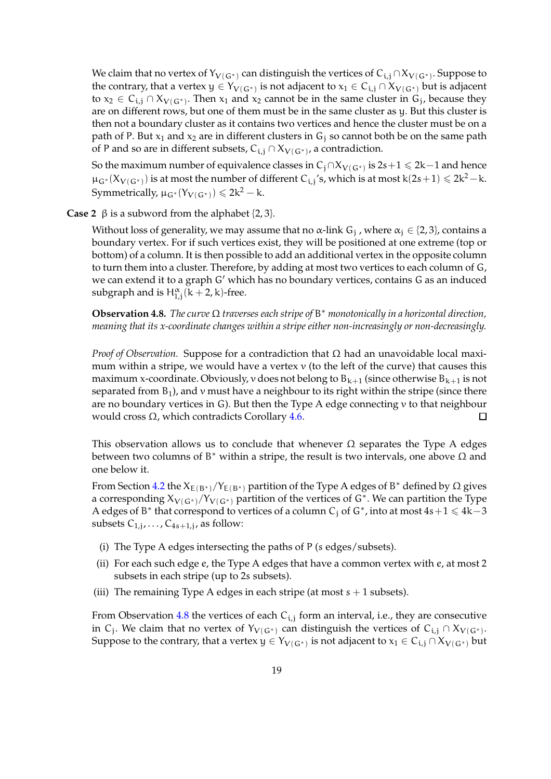We claim that no vertex of  $Y_{V(\mathsf{G}^*)}$  can distinguish the vertices of  $\mathsf{C}_{\textbf{i},\textbf{j}}\cap X_{V(\mathsf{G}^*)}.$  Suppose to the contrary, that a vertex  $y \in Y_{V(G^*)}$  is not adjacent to  $x_1 \in C_{i,j} \cap X_{V(G^*)}$  but is adjacent to  $x_2 \in C_{i,j} \cap X_{V(G^*)}$ . Then  $x_1$  and  $x_2$  cannot be in the same cluster in  $G_j$ , because they are on different rows, but one of them must be in the same cluster as y. But this cluster is then not a boundary cluster as it contains two vertices and hence the cluster must be on a path of P. But  $x_1$  and  $x_2$  are in different clusters in  $G_i$  so cannot both be on the same path of P and so are in different subsets,  $C_{i,j} \cap X_{V(G^*)}$ , a contradiction.

So the maximum number of equivalence classes in  $C_j \cap X_{V(G^*)}$  is 2s +  $1 \leqslant 2k-1$  and hence  $\mu_{G^*}(X_{V(G^*)})$  is at most the number of different  $C_{i,j}$ 's, which is at most k $(2s+1) \leq 2k^2 - k$ . Symmetrically,  $\mu_{G^*}(Y_{V(G^*)}) \leq 2k^2 - k$ .

**Case 2**  $\beta$  is a subword from the alphabet  $\{2, 3\}$ .

Without loss of generality, we may assume that no  $\alpha$ -link  $\mathsf{G}_\mathrm{j}$  , where  $\alpha_\mathrm{j} \in \{2,3\}$ , contains a boundary vertex. For if such vertices exist, they will be positioned at one extreme (top or bottom) of a column. It is then possible to add an additional vertex in the opposite column to turn them into a cluster. Therefore, by adding at most two vertices to each column of G, we can extend it to a graph G′ which has no boundary vertices, contains G as an induced subgraph and is  $H_{1,j}^{\alpha}$  (k + 2, k)-free.

<span id="page-18-0"></span>**Observation 4.8.** *The curve* Ω *traverses each stripe of* B <sup>∗</sup> *monotonically in a horizontal direction, meaning that its x-coordinate changes within a stripe either non-increasingly or non-decreasingly.*

*Proof of Observation.* Suppose for a contradiction that Ω had an unavoidable local maximum within a stripe, we would have a vertex  $\nu$  (to the left of the curve) that causes this maximum x-coordinate. Obviously, v does not belong to  $B_{k+1}$  (since otherwise  $B_{k+1}$  is not separated from  $B_1$ ), and v must have a neighbour to its right within the stripe (since there are no boundary vertices in G). But then the Type A edge connecting  $\nu$  to that neighbour would cross  $Ω$ , which contradicts Corollary [4.6.](#page-16-1)  $\Box$ 

This observation allows us to conclude that whenever  $\Omega$  separates the Type A edges between two columns of B<sup>\*</sup> within a stripe, the result is two intervals, one above  $\Omega$  and one below it.

From Section [4.2](#page-16-2) the  $X_{E(B^*)}/Y_{E(B^*)}$  partition of the Type A edges of B<sup>\*</sup> defined by  $\Omega$  gives a corresponding  $X_{V(G^*)}/Y_{V(G^*)}$  partition of the vertices of  $G^*$ . We can partition the Type A edges of B<sup>\*</sup> that correspond to vertices of a column C<sub>j</sub> of G<sup>\*</sup>, into at most  $4s+1 \leq 4k-3$ subsets  $C_{1,j}, \ldots, C_{4s+1,j}$ , as follow:

- (i) The Type A edges intersecting the paths of P (s edges/subsets).
- (ii) For each such edge e, the Type A edges that have a common vertex with e, at most 2 subsets in each stripe (up to 2s subsets).
- (iii) The remaining Type A edges in each stripe (at most  $s + 1$  subsets).

From Observation [4.8](#page-18-0) the vertices of each  $C_{i,j}$  form an interval, i.e., they are consecutive in C<sub>j</sub>. We claim that no vertex of Y<sub>V(G\*)</sub> can distinguish the vertices of C<sub>i,j</sub> ∩ X<sub>V(G\*)</sub>. Suppose to the contrary, that a vertex  $y\in Y_{V(G^*)}$  is not adjacent to  $x_1\in C_{\textbf{i},j}\cap X_{V(G^*)}$  but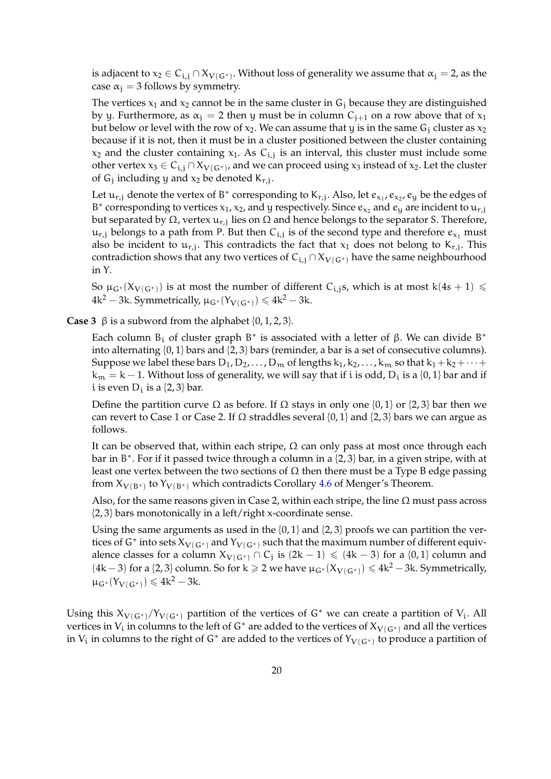is adjacent to  $x_2\in C_{\textbf{i},j}\cap X_{V(\textbf{G}^*)}.$  Without loss of generality we assume that  $\alpha_\textbf{j}=$  2, as the case  $\alpha_i = 3$  follows by symmetry.

The vertices  $x_1$  and  $x_2$  cannot be in the same cluster in  $G_i$  because they are distinguished by y. Furthermore, as  $\alpha_i = 2$  then y must be in column  $C_{i+1}$  on a row above that of  $x_1$ but below or level with the row of  $x_2$ . We can assume that y is in the same G<sub>j</sub> cluster as  $x_2$ because if it is not, then it must be in a cluster positioned between the cluster containing  $x_2$  and the cluster containing  $x_1$ . As  $C_{i,j}$  is an interval, this cluster must include some other vertex  $x_3 \in C_{i,j} \cap X_{V(G^*)}$ , and we can proceed using  $x_3$  instead of  $x_2$ . Let the cluster of  $G_j$  including y and  $x_2$  be denoted  $K_{r,j}$ .

Let  $\mathfrak{u}_{r,j}$  denote the vertex of B<sup>\*</sup> corresponding to K<sub>r,j</sub>. Also, let  $e_{x_1},e_{x_2},e_{y}$  be the edges of B<sup>\*</sup> corresponding to vertices  $x_1$ ,  $x_2$ , and y respectively. Since  $e_{x_2}$  and  $e_y$  are incident to  $u_{r,j}$ but separated by Ω, vertex  $\mathfrak{u}_{\mathsf{r},\mathsf{j}}$  lies on Ω and hence belongs to the separator S. Therefore,  $\mathfrak{u}_{\rm r,j}$  belongs to a path from P. But then  $\mathcal{C}_{\rm i,j}$  is of the second type and therefore  $e_{\mathsf{x}_1}$  must also be incident to  $u_{r,j}$ . This contradicts the fact that  $x_1$  does not belong to  $K_{r,j}$ . This contradiction shows that any two vertices of  $C_{i,j} \cap X_{V(G^*)}$  have the same neighbourhood in Y.

So  $\mu_{G^*}(X_{V(G^*)})$  is at most the number of different C<sub>i,j</sub>s, which is at most k(4s + 1)  $\leq$ 4k<sup>2</sup> — 3k. Symmetrically,  $\mu_{G^*}(Y_{V(G^*)}) \leq 4k^2 - 3k$ .

**Case 3**  $\beta$  is a subword from the alphabet  $\{0, 1, 2, 3\}$ .

Each column  $B_i$  of cluster graph  $B^*$  is associated with a letter of  $\beta$ . We can divide  $B^*$ into alternating {0, 1} bars and {2, 3} bars (reminder, a bar is a set of consecutive columns). Suppose we label these bars  $D_1, D_2, \ldots, D_m$  of lengths  $k_1, k_2, \ldots, k_m$  so that  $k_1 + k_2 + \cdots +$  ${\rm k_m=k-1}.$  Without loss of generality, we will say that if  ${\rm i}$  is odd,  ${\rm D_i}$  is a {0, 1} bar and if i is even  $D_i$  is a  $\{2, 3\}$  bar.

Define the partition curve  $\Omega$  as before. If  $\Omega$  stays in only one {0, 1} or {2, 3} bar then we can revert to Case 1 or Case 2. If  $\Omega$  straddles several {0, 1} and {2, 3} bars we can argue as follows.

It can be observed that, within each stripe,  $\Omega$  can only pass at most once through each bar in B ∗ . For if it passed twice through a column in a {2, 3} bar, in a given stripe, with at least one vertex between the two sections of  $\Omega$  then there must be a Type B edge passing from  $X_{V(B^*)}$  to  $Y_{V(B^*)}$  which contradicts Corollary  $4.6$  of Menger's Theorem.

Also, for the same reasons given in Case 2, within each stripe, the line  $\Omega$  must pass across {2, 3} bars monotonically in a left/right x-coordinate sense.

Using the same arguments as used in the  $\{0, 1\}$  and  $\{2, 3\}$  proofs we can partition the vertices of G<sup>\*</sup> into sets  $X_{V(G^*)}$  and  $Y_{V(G^*)}$  such that the maximum number of different equivalence classes for a column  $X_{V(G^*)} \cap C_j$  is  $(2k-1) \leq (4k-3)$  for a  $\{0,1\}$  column and (4k − 3) for a {2, 3} column. So for k  $\geq 2$  we have  $\mu_{G^*}(X_{V(G^*)}) \leq 4k^2 - 3k$ . Symmetrically,  $\mu_{G^*}(Y_{V(G^*)}) \leq 4k^2 - 3k$ .

Using this  $X_{V(G^*)}/Y_{V(G^*)}$  partition of the vertices of G<sup>\*</sup> we can create a partition of V<sub>i</sub>. All vertices in  $V_i$  in columns to the left of G<sup>∗</sup> are added to the vertices of  $X_{V(G*)}$  and all the vertices in  $V_i$  in columns to the right of G<sup>∗</sup> are added to the vertices of  $Y_{V(G^*)}$  to produce a partition of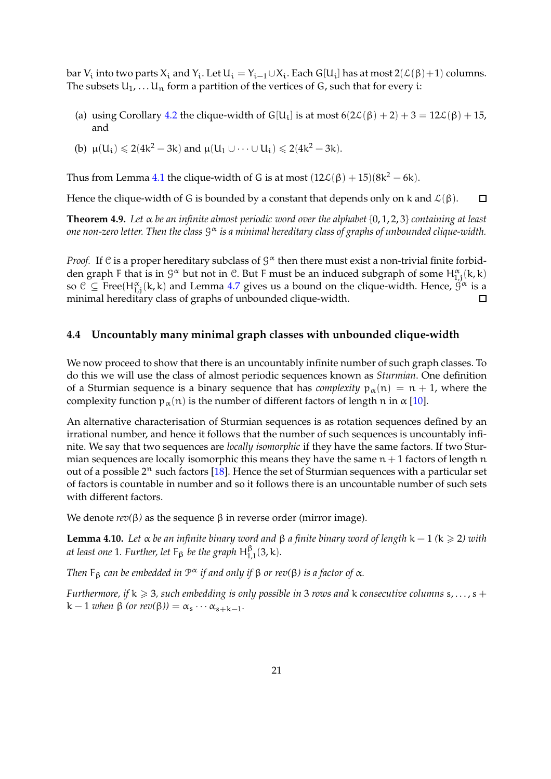bar  $V_i$  into two parts  $X_i$  and  $Y_i$ . Let  $U_i = Y_{i-1} \cup X_i$ . Each G[U<sub>i</sub>] has at most  $2(\mathcal{L}(\beta)+1)$  columns. The subsets  $U_1, \ldots, U_n$  form a partition of the vertices of G, such that for every i:

- (a) using Corollary [4.2](#page-13-2) the clique-width of G[U<sub>i</sub>] is at most  $6(2\mathcal{L}(\beta) + 2) + 3 = 12\mathcal{L}(\beta) + 15$ , and
- (b)  $\mu(U_i) \leq 2(4k^2 3k)$  and  $\mu(U_1 \cup \dots \cup U_i) \leq 2(4k^2 3k)$ .

Thus from Lemma [4.1](#page-13-0) the clique-width of G is at most  $(12\mathcal{L}(\beta) + 15)(8k^2 - 6k)$ .

Hence the clique-width of G is bounded by a constant that depends only on k and  $\mathcal{L}(\beta)$ .  $\Box$ 

<span id="page-20-0"></span>**Theorem 4.9.** *Let* α *be an infinite almost periodic word over the alphabet* {0, 1, 2, 3} *containing at least* one non-zero letter. Then the class  $\mathcal{G}^{\boldsymbol{\alpha}}$  is a minimal hereditary class of graphs of unbounded clique-width.

*Proof.* If  $C$  is a proper hereditary subclass of  $G^{\alpha}$  then there must exist a non-trivial finite forbidden graph F that is in  $\mathcal{G}^{\alpha}$  but not in  $\mathcal{C}$ . But F must be an induced subgraph of some  $H^{\alpha}_{1,j}(k,k)$ so  $\mathcal{C} \subseteq \text{Free}(H^{\alpha}_{1,j}(k,k)$  and Lemma [4.7](#page-17-0) gives us a bound on the clique-width. Hence,  $\hat{\mathcal{G}}^{\alpha}$  is a minimal hereditary class of graphs of unbounded clique-width.  $\Box$ 

#### **4.4 Uncountably many minimal graph classes with unbounded clique-width**

We now proceed to show that there is an uncountably infinite number of such graph classes. To do this we will use the class of almost periodic sequences known as *Sturmian*. One definition of a Sturmian sequence is a binary sequence that has *complexity*  $p_{\alpha}(n) = n + 1$ , where the complexity function  $p_{\alpha}(n)$  is the number of different factors of length n in  $\alpha$  [\[10\]](#page-25-13).

An alternative characterisation of Sturmian sequences is as rotation sequences defined by an irrational number, and hence it follows that the number of such sequences is uncountably infinite. We say that two sequences are *locally isomorphic* if they have the same factors. If two Sturmian sequences are locally isomorphic this means they have the same  $n + 1$  factors of length n out of a possible  $2^n$  such factors [\[18\]](#page-26-2). Hence the set of Sturmian sequences with a particular set of factors is countable in number and so it follows there is an uncountable number of such sets with different factors.

We denote  $rev(β)$  as the sequence  $β$  in reverse order (mirror image).

<span id="page-20-1"></span>**Lemma 4.10.** *Let* α *be an infinite binary word and*  $β$  *a finite binary word of length*  $k - 1$  ( $k ≥ 2$ ) *with at least one* 1*. Further, let*  $F_\beta$  *be the graph*  $H_{1,1}^\beta(3,k)$ *.* 

*Then* F<sup>β</sup> *can be embedded in* P <sup>α</sup> *if and only if* β *or rev(*β*) is a factor of* α*.*

*Furthermore, if*  $k \ge 3$ , such embedding is only possible in 3 *rows and* k consecutive columns  $s, \ldots, s +$  $k-1$  *when*  $\beta$  (*or rev*( $\beta$ )) =  $\alpha_s \cdots \alpha_{s+k-1}$ *.*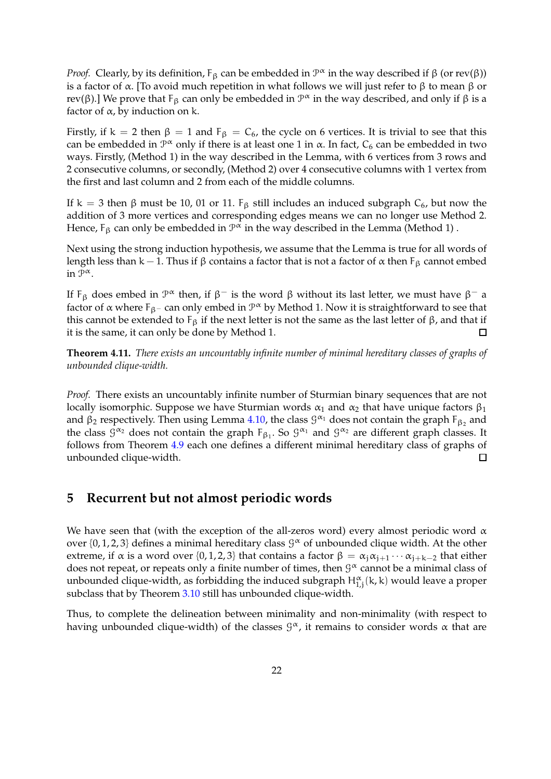*Proof.* Clearly, by its definition,  $F_\beta$  can be embedded in  $\mathcal{P}^\alpha$  in the way described if  $\beta$  (or rev( $\beta$ )) is a factor of α. [To avoid much repetition in what follows we will just refer to β to mean β or rev(β).] We prove that F<sub>β</sub> can only be embedded in  $\mathcal{P}^{\alpha}$  in the way described, and only if β is a factor of  $\alpha$ , by induction on k.

Firstly, if k = 2 then  $\beta = 1$  and  $F_{\beta} = C_6$ , the cycle on 6 vertices. It is trivial to see that this can be embedded in  $\mathcal{P}^{\alpha}$  only if there is at least one 1 in  $\alpha$ . In fact,  $C_6$  can be embedded in two ways. Firstly, (Method 1) in the way described in the Lemma, with 6 vertices from 3 rows and 2 consecutive columns, or secondly, (Method 2) over 4 consecutive columns with 1 vertex from the first and last column and 2 from each of the middle columns.

If k = 3 then β must be 10, 01 or 11.  $F_\beta$  still includes an induced subgraph C<sub>6</sub>, but now the addition of 3 more vertices and corresponding edges means we can no longer use Method 2. Hence, F<sub>β</sub> can only be embedded in  $\mathcal{P}^{\boldsymbol{\alpha}}$  in the way described in the Lemma (Method 1) .

Next using the strong induction hypothesis, we assume that the Lemma is true for all words of length less than k – 1. Thus if β contains a factor that is not a factor of  $\alpha$  then  $F_\beta$  cannot embed in  $\mathcal{P}^{\alpha}$ .

If  $F_\beta$  does embed in  $\mathcal{P}^\alpha$  then, if  $\beta^-$  is the word  $\beta$  without its last letter, we must have  $\beta^-$  a factor of  $\alpha$  where F<sub>β</sub>− can only embed in  $\mathcal{P}^{\alpha}$  by Method 1. Now it is straightforward to see that this cannot be extended to  $F_\beta$  if the next letter is not the same as the last letter of β, and that if it is the same, it can only be done by Method 1.  $\Box$ 

<span id="page-21-0"></span>**Theorem 4.11.** *There exists an uncountably infinite number of minimal hereditary classes of graphs of unbounded clique-width.*

*Proof.* There exists an uncountably infinite number of Sturmian binary sequences that are not locally isomorphic. Suppose we have Sturmian words  $\alpha_1$  and  $\alpha_2$  that have unique factors  $\beta_1$ and  $\beta_2$  respectively. Then using Lemma [4.10,](#page-20-1) the class  $\mathcal{G}^{\alpha_1}$  does not contain the graph  $F_{\beta_2}$  and the class  $\mathcal{G}^{\alpha_2}$  does not contain the graph  $F_{\beta_1}$ . So  $\mathcal{G}^{\alpha_1}$  and  $\mathcal{G}^{\alpha_2}$  are different graph classes. It follows from Theorem [4.9](#page-20-0) each one defines a different minimal hereditary class of graphs of unbounded clique-width.  $\Box$ 

## <span id="page-21-1"></span>**5 Recurrent but not almost periodic words**

We have seen that (with the exception of the all-zeros word) every almost periodic word  $\alpha$ over  $\{0, 1, 2, 3\}$  defines a minimal hereditary class  $\mathcal{G}^{\alpha}$  of unbounded clique width. At the other extreme, if  $\alpha$  is a word over {0, 1, 2, 3} that contains a factor  $\beta = \alpha_i \alpha_{i+1} \cdots \alpha_{i+k-2}$  that either does not repeat, or repeats only a finite number of times, then  $\mathcal{G}^{\alpha}$  cannot be a minimal class of unbounded clique-width, as forbidding the induced subgraph  $H^{\alpha}_{1,j}(\mathsf{k},\mathsf{k})$  would leave a proper subclass that by Theorem [3.10](#page-12-0) still has unbounded clique-width.

Thus, to complete the delineation between minimality and non-minimality (with respect to having unbounded clique-width) of the classes  $\mathcal{G}^{\alpha}$ , it remains to consider words  $\alpha$  that are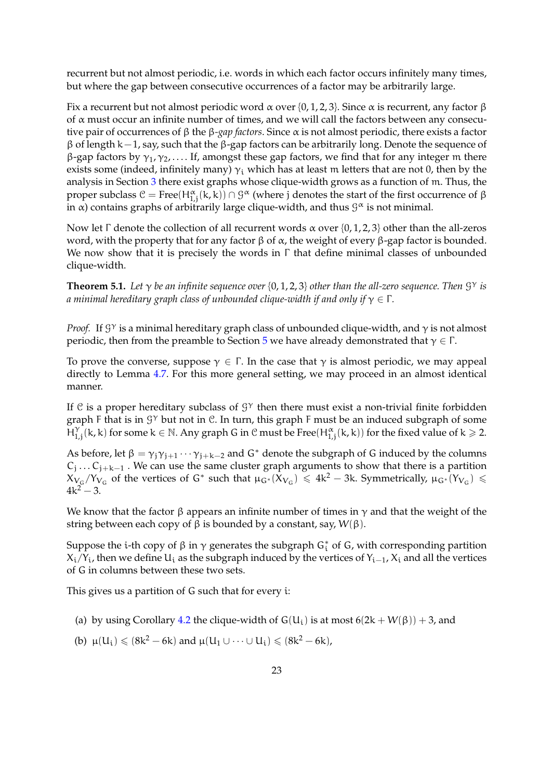recurrent but not almost periodic, i.e. words in which each factor occurs infinitely many times, but where the gap between consecutive occurrences of a factor may be arbitrarily large.

Fix a recurrent but not almost periodic word  $\alpha$  over {0, 1, 2, 3}. Since  $\alpha$  is recurrent, any factor β of  $\alpha$  must occur an infinite number of times, and we will call the factors between any consecutive pair of occurrences of β the β*-gap factors*. Since α is not almost periodic, there exists a factor β of length k−1, say, such that the β-gap factors can be arbitrarily long. Denote the sequence of  $β$ -gap factors by γ<sub>1</sub>, γ<sub>2</sub>,... If, amongst these gap factors, we find that for any integer m there exists some (indeed, infinitely many)  $\gamma_i$  which has at least m letters that are not 0, then by the analysis in Section [3](#page-6-0) there exist graphs whose clique-width grows as a function of m. Thus, the proper subclass  $C = \text{Free}(H^{\alpha}_{1,j}(k,k)) \cap \mathcal{G}^{\alpha}$  (where j denotes the start of the first occurrence of β in  $\alpha$ ) contains graphs of arbitrarily large clique-width, and thus  $\mathcal{G}^{\alpha}$  is not minimal.

Now let Γ denote the collection of all recurrent words  $\alpha$  over {0, 1, 2, 3} other than the all-zeros word, with the property that for any factor β of  $\alpha$ , the weight of every β-gap factor is bounded. We now show that it is precisely the words in Γ that define minimal classes of unbounded clique-width.

<span id="page-22-0"></span>**Theorem 5.1.** *Let* γ *be an infinite sequence over* {0, 1, 2, 3} *other than the all-zero sequence. Then* G <sup>γ</sup> *is a minimal hereditary graph class of unbounded clique-width if and only if*  $\gamma \in \Gamma$ *.* 

*Proof.* If  $\mathcal{G}^{\gamma}$  is a minimal hereditary graph class of unbounded clique-width, and  $\gamma$  is not almost periodic, then from the preamble to Section [5](#page-21-1) we have already demonstrated that  $γ ∈ Γ$ .

To prove the converse, suppose  $\gamma \in \Gamma$ . In the case that  $\gamma$  is almost periodic, we may appeal directly to Lemma [4.7.](#page-17-0) For this more general setting, we may proceed in an almost identical manner.

If C is a proper hereditary subclass of  $\mathcal{G}^{\gamma}$  then there must exist a non-trivial finite forbidden graph F that is in  $\mathcal{G}^{\gamma}$  but not in  $\mathcal{C}$ . In turn, this graph F must be an induced subgraph of some  $\check{H}_1^{\gamma}$  $\prod_{1,j}^{\gamma} (k,k)$  for some  $k \in \mathbb{N}$ . Any graph G in C must be Free $(H_{1,j}^{\alpha}(k,k))$  for the fixed value of  $k \geqslant 2$ .

As before, let  $\beta = \gamma_j \gamma_{j+1} \cdots \gamma_{j+k-2}$  and  $G^*$  denote the subgraph of G induced by the columns  $C_j \ldots C_{j+k-1}$  . We can use the same cluster graph arguments to show that there is a partition  $X_{V_G}/Y_{V_G}$  of the vertices of G<sup>\*</sup> such that  $\mu_{G^*}(X_{V_G}) \le 4k^2 - 3k$ . Symmetrically,  $\mu_{G^*}(Y_{V_G}) \le$  $4k^2 - 3$ .

We know that the factor  $\beta$  appears an infinite number of times in  $\gamma$  and that the weight of the string between each copy of β is bounded by a constant, say,  $W(β)$ .

Suppose the i-th copy of  $\beta$  in  $\gamma$  generates the subgraph G<sub>t</sub><sup>\*</sup> of G, with corresponding partition  $X_i/Y_i$ , then we define  $U_i$  as the subgraph induced by the vertices of  $Y_{i-1}$ ,  $X_i$  and all the vertices of G in columns between these two sets.

This gives us a partition of G such that for every i:

- (a) by using Corollary [4.2](#page-13-2) the clique-width of  $G(U_i)$  is at most  $6(2k + W(\beta)) + 3$ , and
- (b)  $\mu(U_i) \le (8k^2 6k)$  and  $\mu(U_1 \cup \dots \cup U_i) \le (8k^2 6k)$ ,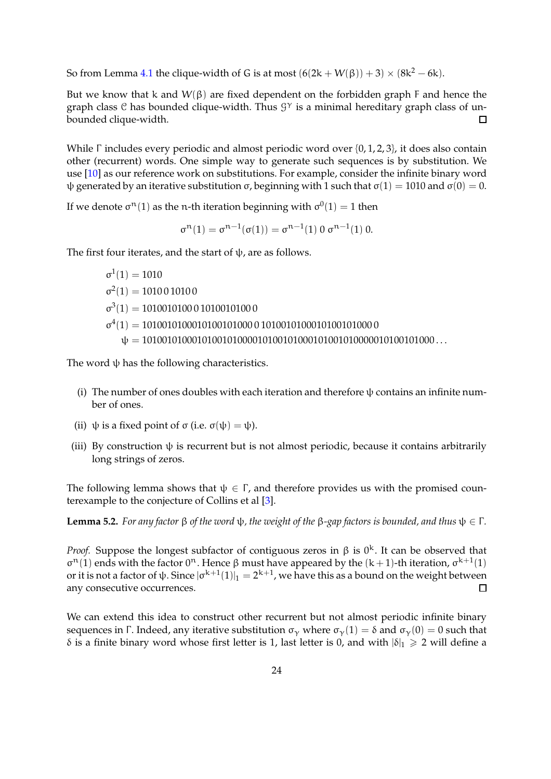So from Lemma [4.1](#page-13-0) the clique-width of G is at most  $(6(2k + W(\beta)) + 3) \times (8k^2 - 6k)$ .

But we know that k and  $W(\beta)$  are fixed dependent on the forbidden graph F and hence the graph class  $C$  has bounded clique-width. Thus  $G<sup>\gamma</sup>$  is a minimal hereditary graph class of unbounded clique-width.  $\Box$ 

While Γ includes every periodic and almost periodic word over {0, 1, 2, 3}, it does also contain other (recurrent) words. One simple way to generate such sequences is by substitution. We use [\[10\]](#page-25-13) as our reference work on substitutions. For example, consider the infinite binary word ψ generated by an iterative substitution σ, beginning with 1 such that  $\sigma(1) = 1010$  and  $\sigma(0) = 0$ .

If we denote  $\sigma^n(1)$  as the n-th iteration beginning with  $\sigma^0(1)=1$  then

 $\sigma^{n}(1) = \sigma^{n-1}(\sigma(1)) = \sigma^{n-1}(1) 0 \sigma^{n-1}(1) 0.$ 

The first four iterates, and the start of  $\psi$ , are as follows.

 $σ<sup>1</sup>(1) = 1010$  $\sigma^2(1) = 1010010100$  $\sigma^3(1) = 1010010100010100101000$ σ 4 (1) = 1010010100010100101000 0 1010010100010100101000 0 ψ = 1010010100010100101000010100101000101001010000010100101000 . . .

The word  $\psi$  has the following characteristics.

- (i) The number of ones doubles with each iteration and therefore  $\psi$  contains an infinite number of ones.
- (ii)  $\psi$  is a fixed point of  $\sigma$  (i.e.  $\sigma(\psi) = \psi$ ).
- (iii) By construction  $\psi$  is recurrent but is not almost periodic, because it contains arbitrarily long strings of zeros.

The following lemma shows that  $\psi \in \Gamma$ , and therefore provides us with the promised counterexample to the conjecture of Collins et al [\[3\]](#page-25-5).

<span id="page-23-0"></span>**Lemma 5.2.** *For any factor*  $\beta$  *of the word*  $\psi$ *, the weight of the*  $\beta$ *-gap factors is bounded, and thus*  $\psi \in \Gamma$ *.* 

*Proof.* Suppose the longest subfactor of contiguous zeros in  $\beta$  is  $0^k$ . It can be observed that  $σ<sup>n</sup>(1)$  ends with the factor 0<sup>n</sup>. Hence β must have appeared by the  $(k+1)$ -th iteration,  $σ<sup>k+1</sup>(1)$ or it is not a factor of  $\psi$ . Since  $|\sigma^{k+1}(1)|_1 = 2^{k+1}$ , we have this as a bound on the weight between any consecutive occurrences. П

We can extend this idea to construct other recurrent but not almost periodic infinite binary sequences in Γ. Indeed, any iterative substitution  $\sigma_{\gamma}$  where  $\sigma_{\gamma}(1) = \delta$  and  $\sigma_{\gamma}(0) = 0$  such that δ is a finite binary word whose first letter is 1, last letter is 0, and with  $|\delta|_1 \ge 2$  will define a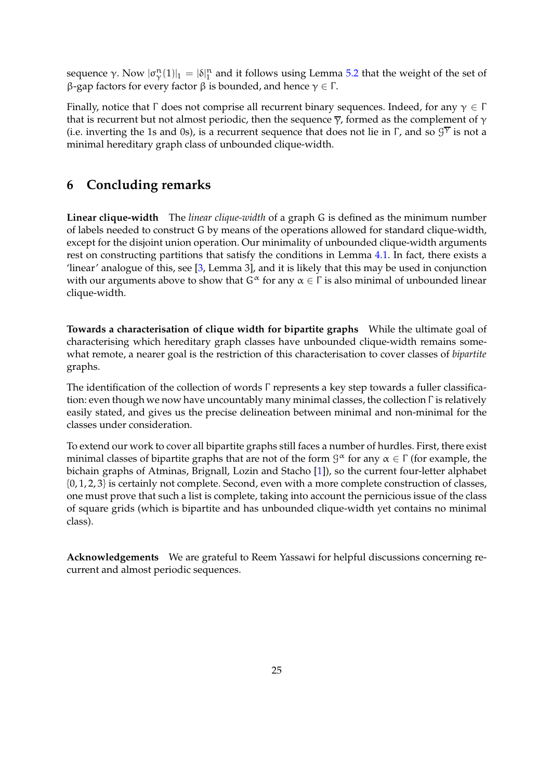sequence γ. Now  $|\sigma_V^n(1)|_1 = |\delta|_1^n$  and it follows using Lemma [5.2](#page-23-0) that the weight of the set of β-gap factors for every factor  $\beta$  is bounded, and hence  $\gamma \in \Gamma$ .

Finally, notice that  $\Gamma$  does not comprise all recurrent binary sequences. Indeed, for any  $\gamma \in \Gamma$ that is recurrent but not almost periodic, then the sequence  $\overline{\gamma}$ , formed as the complement of  $\gamma$ (i.e. inverting the 1s and 0s), is a recurrent sequence that does not lie in  $\Gamma$ , and so  $\mathcal{G}^{\overline{\gamma}}$  is not a minimal hereditary graph class of unbounded clique-width.

## **6 Concluding remarks**

**Linear clique-width** The *linear clique-width* of a graph G is defined as the minimum number of labels needed to construct G by means of the operations allowed for standard clique-width, except for the disjoint union operation. Our minimality of unbounded clique-width arguments rest on constructing partitions that satisfy the conditions in Lemma [4.1.](#page-13-0) In fact, there exists a 'linear' analogue of this, see [\[3,](#page-25-5) Lemma 3], and it is likely that this may be used in conjunction with our arguments above to show that  $G^{\alpha}$  for any  $\alpha \in \Gamma$  is also minimal of unbounded linear clique-width.

**Towards a characterisation of clique width for bipartite graphs** While the ultimate goal of characterising which hereditary graph classes have unbounded clique-width remains somewhat remote, a nearer goal is the restriction of this characterisation to cover classes of *bipartite* graphs.

The identification of the collection of words Γ represents a key step towards a fuller classification: even though we now have uncountably many minimal classes, the collection Γ is relatively easily stated, and gives us the precise delineation between minimal and non-minimal for the classes under consideration.

To extend our work to cover all bipartite graphs still faces a number of hurdles. First, there exist minimal classes of bipartite graphs that are not of the form  $\mathcal{G}^{\alpha}$  for any  $\alpha \in \Gamma$  (for example, the bichain graphs of Atminas, Brignall, Lozin and Stacho [\[1\]](#page-25-14)), so the current four-letter alphabet {0, 1, 2, 3} is certainly not complete. Second, even with a more complete construction of classes, one must prove that such a list is complete, taking into account the pernicious issue of the class of square grids (which is bipartite and has unbounded clique-width yet contains no minimal class).

**Acknowledgements** We are grateful to Reem Yassawi for helpful discussions concerning recurrent and almost periodic sequences.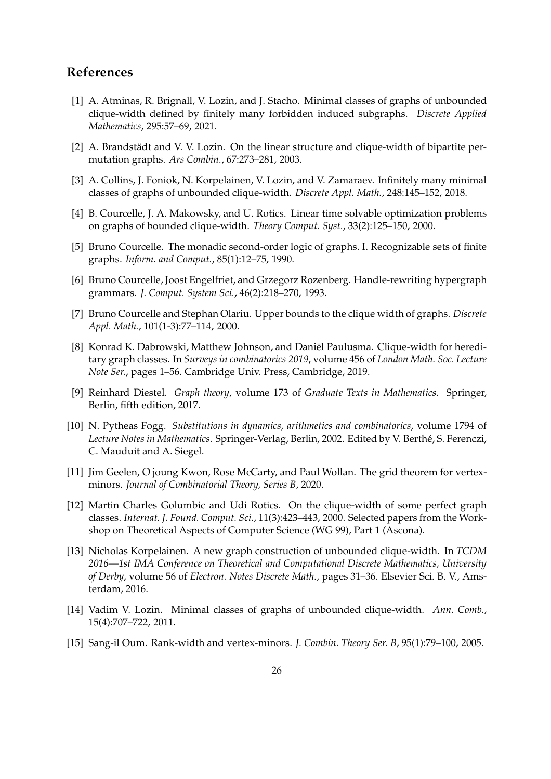## <span id="page-25-14"></span>**References**

- [1] A. Atminas, R. Brignall, V. Lozin, and J. Stacho. Minimal classes of graphs of unbounded clique-width defined by finitely many forbidden induced subgraphs. *Discrete Applied Mathematics*, 295:57–69, 2021.
- <span id="page-25-10"></span><span id="page-25-5"></span>[2] A. Brandstädt and V. V. Lozin. On the linear structure and clique-width of bipartite permutation graphs. *Ars Combin.*, 67:273–281, 2003.
- [3] A. Collins, J. Foniok, N. Korpelainen, V. Lozin, and V. Zamaraev. Infinitely many minimal classes of graphs of unbounded clique-width. *Discrete Appl. Math.*, 248:145–152, 2018.
- <span id="page-25-1"></span>[4] B. Courcelle, J. A. Makowsky, and U. Rotics. Linear time solvable optimization problems on graphs of bounded clique-width. *Theory Comput. Syst.*, 33(2):125–150, 2000.
- <span id="page-25-0"></span>[5] Bruno Courcelle. The monadic second-order logic of graphs. I. Recognizable sets of finite graphs. *Inform. and Comput.*, 85(1):12–75, 1990.
- <span id="page-25-7"></span>[6] Bruno Courcelle, Joost Engelfriet, and Grzegorz Rozenberg. Handle-rewriting hypergraph grammars. *J. Comput. System Sci.*, 46(2):218–270, 1993.
- <span id="page-25-11"></span>[7] Bruno Courcelle and Stephan Olariu. Upper bounds to the clique width of graphs. *Discrete Appl. Math.*, 101(1-3):77–114, 2000.
- <span id="page-25-4"></span>[8] Konrad K. Dabrowski, Matthew Johnson, and Daniël Paulusma. Clique-width for hereditary graph classes. In *Surveys in combinatorics 2019*, volume 456 of *London Math. Soc. Lecture Note Ser.*, pages 1–56. Cambridge Univ. Press, Cambridge, 2019.
- <span id="page-25-12"></span>[9] Reinhard Diestel. *Graph theory*, volume 173 of *Graduate Texts in Mathematics*. Springer, Berlin, fifth edition, 2017.
- <span id="page-25-13"></span>[10] N. Pytheas Fogg. *Substitutions in dynamics, arithmetics and combinatorics*, volume 1794 of Lecture Notes in Mathematics. Springer-Verlag, Berlin, 2002. Edited by V. Berthé, S. Ferenczi, C. Mauduit and A. Siegel.
- <span id="page-25-2"></span>[11] Jim Geelen, O joung Kwon, Rose McCarty, and Paul Wollan. The grid theorem for vertexminors. *Journal of Combinatorial Theory, Series B*, 2020.
- <span id="page-25-9"></span>[12] Martin Charles Golumbic and Udi Rotics. On the clique-width of some perfect graph classes. *Internat. J. Found. Comput. Sci.*, 11(3):423–443, 2000. Selected papers from the Workshop on Theoretical Aspects of Computer Science (WG 99), Part 1 (Ascona).
- <span id="page-25-3"></span>[13] Nicholas Korpelainen. A new graph construction of unbounded clique-width. In *TCDM 2016—1st IMA Conference on Theoretical and Computational Discrete Mathematics, University of Derby*, volume 56 of *Electron. Notes Discrete Math.*, pages 31–36. Elsevier Sci. B. V., Amsterdam, 2016.
- <span id="page-25-8"></span><span id="page-25-6"></span>[14] Vadim V. Lozin. Minimal classes of graphs of unbounded clique-width. *Ann. Comb.*, 15(4):707–722, 2011.
- [15] Sang-il Oum. Rank-width and vertex-minors. *J. Combin. Theory Ser. B*, 95(1):79–100, 2005.